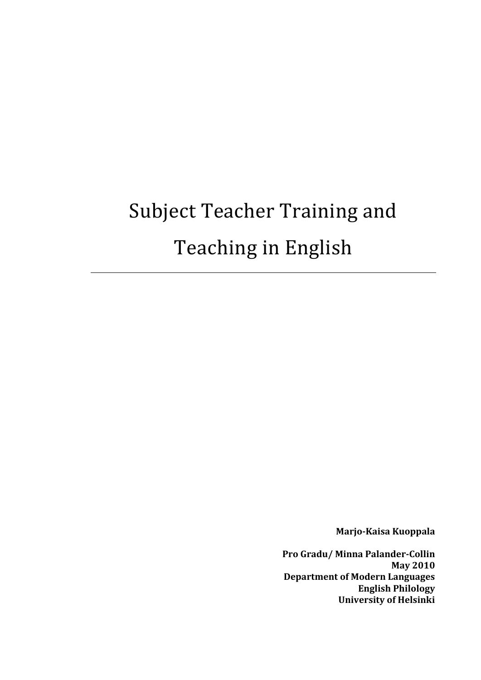# Subject Teacher Training and Teaching in English

**Marjo-Kaisa Kuoppala** 

**Pro Gradu/ Minna Palander-Collin May 2010 Department of Modern Languages English Philology University of Helsinki**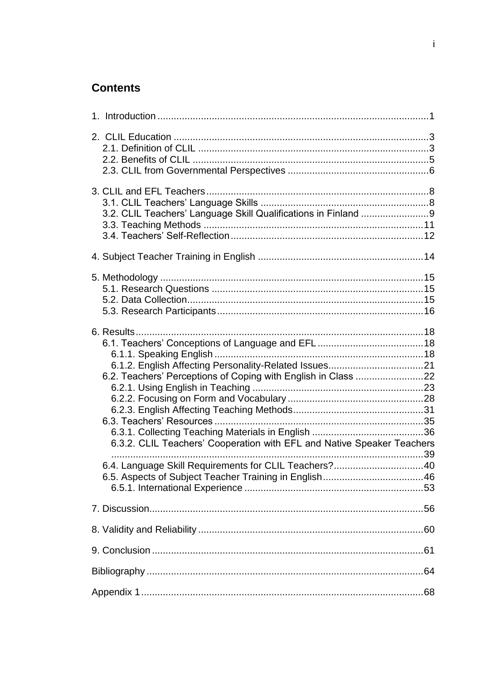# **Contents**

|  | 6.2. Teachers' Perceptions of Coping with English in Class 22<br>6.3.2. CLIL Teachers' Cooperation with EFL and Native Speaker Teachers<br>6.4. Language Skill Requirements for CLIL Teachers?40 |  |  |
|--|--------------------------------------------------------------------------------------------------------------------------------------------------------------------------------------------------|--|--|
|  |                                                                                                                                                                                                  |  |  |
|  |                                                                                                                                                                                                  |  |  |
|  |                                                                                                                                                                                                  |  |  |
|  |                                                                                                                                                                                                  |  |  |
|  |                                                                                                                                                                                                  |  |  |
|  |                                                                                                                                                                                                  |  |  |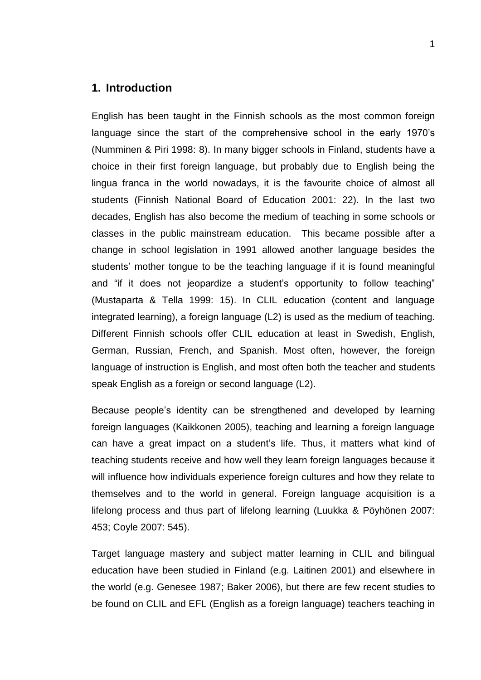## <span id="page-2-0"></span>**1. Introduction**

English has been taught in the Finnish schools as the most common foreign language since the start of the comprehensive school in the early 1970's (Numminen & Piri 1998: 8). In many bigger schools in Finland, students have a choice in their first foreign language, but probably due to English being the lingua franca in the world nowadays, it is the favourite choice of almost all students (Finnish National Board of Education 2001: 22). In the last two decades, English has also become the medium of teaching in some schools or classes in the public mainstream education. This became possible after a change in school legislation in 1991 allowed another language besides the students' mother tongue to be the teaching language if it is found meaningful and "if it does not jeopardize a student's opportunity to follow teaching" (Mustaparta & Tella 1999: 15). In CLIL education (content and language integrated learning), a foreign language (L2) is used as the medium of teaching. Different Finnish schools offer CLIL education at least in Swedish, English, German, Russian, French, and Spanish. Most often, however, the foreign language of instruction is English, and most often both the teacher and students speak English as a foreign or second language (L2).

Because people's identity can be strengthened and developed by learning foreign languages (Kaikkonen 2005), teaching and learning a foreign language can have a great impact on a student's life. Thus, it matters what kind of teaching students receive and how well they learn foreign languages because it will influence how individuals experience foreign cultures and how they relate to themselves and to the world in general. Foreign language acquisition is a lifelong process and thus part of lifelong learning (Luukka & Pöyhönen 2007: 453; Coyle 2007: 545).

Target language mastery and subject matter learning in CLIL and bilingual education have been studied in Finland (e.g. Laitinen 2001) and elsewhere in the world (e.g. Genesee 1987; Baker 2006), but there are few recent studies to be found on CLIL and EFL (English as a foreign language) teachers teaching in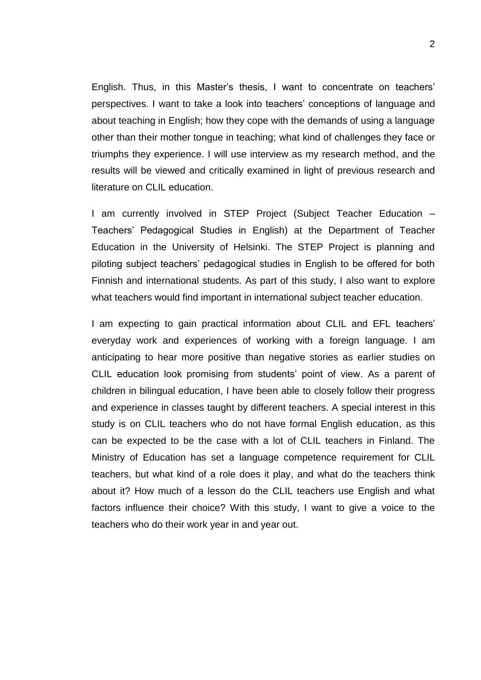English. Thus, in this Master's thesis, I want to concentrate on teachers' perspectives. I want to take a look into teachers' conceptions of language and about teaching in English; how they cope with the demands of using a language other than their mother tongue in teaching; what kind of challenges they face or triumphs they experience. I will use interview as my research method, and the results will be viewed and critically examined in light of previous research and literature on CLIL education.

I am currently involved in STEP Project (Subject Teacher Education – Teachers' Pedagogical Studies in English) at the Department of Teacher Education in the University of Helsinki. The STEP Project is planning and piloting subject teachers' pedagogical studies in English to be offered for both Finnish and international students. As part of this study, I also want to explore what teachers would find important in international subject teacher education.

I am expecting to gain practical information about CLIL and EFL teachers' everyday work and experiences of working with a foreign language. I am anticipating to hear more positive than negative stories as earlier studies on CLIL education look promising from students' point of view. As a parent of children in bilingual education, I have been able to closely follow their progress and experience in classes taught by different teachers. A special interest in this study is on CLIL teachers who do not have formal English education, as this can be expected to be the case with a lot of CLIL teachers in Finland. The Ministry of Education has set a language competence requirement for CLIL teachers, but what kind of a role does it play, and what do the teachers think about it? How much of a lesson do the CLIL teachers use English and what factors influence their choice? With this study, I want to give a voice to the teachers who do their work year in and year out.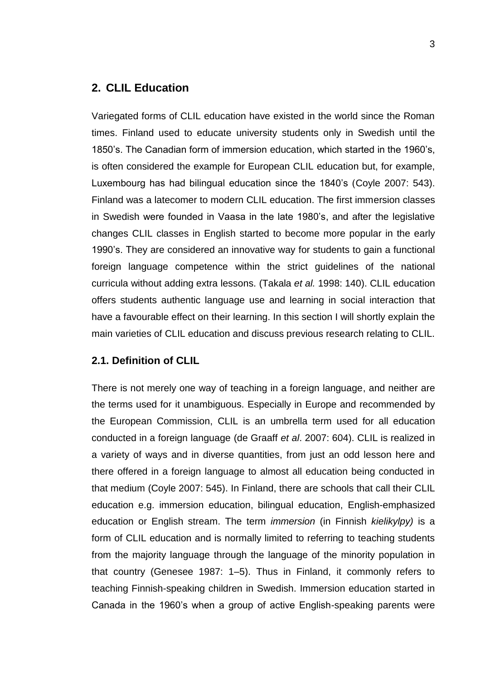## <span id="page-4-0"></span>**2. CLIL Education**

Variegated forms of CLIL education have existed in the world since the Roman times. Finland used to educate university students only in Swedish until the 1850's. The Canadian form of immersion education, which started in the 1960's, is often considered the example for European CLIL education but, for example, Luxembourg has had bilingual education since the 1840's (Coyle 2007: 543). Finland was a latecomer to modern CLIL education. The first immersion classes in Swedish were founded in Vaasa in the late 1980's, and after the legislative changes CLIL classes in English started to become more popular in the early 1990's. They are considered an innovative way for students to gain a functional foreign language competence within the strict guidelines of the national curricula without adding extra lessons. (Takala *et al.* 1998: 140). CLIL education offers students authentic language use and learning in social interaction that have a favourable effect on their learning. In this section I will shortly explain the main varieties of CLIL education and discuss previous research relating to CLIL.

## <span id="page-4-1"></span>**2.1. Definition of CLIL**

There is not merely one way of teaching in a foreign language, and neither are the terms used for it unambiguous. Especially in Europe and recommended by the European Commission, CLIL is an umbrella term used for all education conducted in a foreign language (de Graaff *et al*. 2007: 604). CLIL is realized in a variety of ways and in diverse quantities, from just an odd lesson here and there offered in a foreign language to almost all education being conducted in that medium (Coyle 2007: 545). In Finland, there are schools that call their CLIL education e.g. immersion education, bilingual education, English-emphasized education or English stream. The term *immersion* (in Finnish *kielikylpy)* is a form of CLIL education and is normally limited to referring to teaching students from the majority language through the language of the minority population in that country (Genesee 1987: 1–5). Thus in Finland, it commonly refers to teaching Finnish-speaking children in Swedish. Immersion education started in Canada in the 1960's when a group of active English-speaking parents were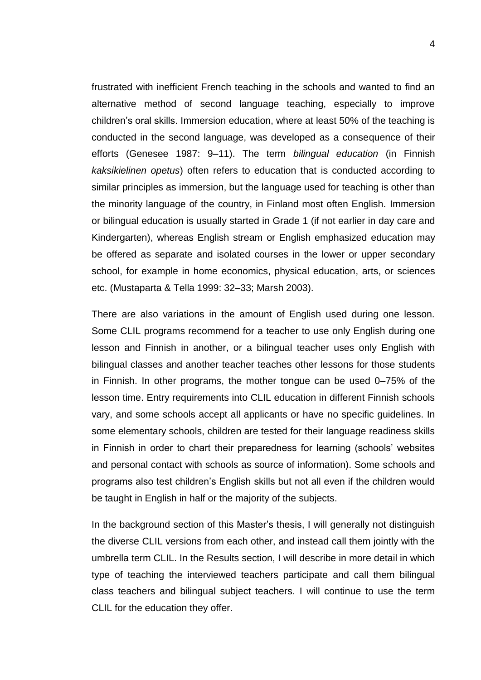frustrated with inefficient French teaching in the schools and wanted to find an alternative method of second language teaching, especially to improve children's oral skills. Immersion education, where at least 50% of the teaching is conducted in the second language, was developed as a consequence of their efforts (Genesee 1987: 9–11). The term *bilingual education* (in Finnish *kaksikielinen opetus*) often refers to education that is conducted according to similar principles as immersion, but the language used for teaching is other than the minority language of the country, in Finland most often English. Immersion or bilingual education is usually started in Grade 1 (if not earlier in day care and Kindergarten), whereas English stream or English emphasized education may be offered as separate and isolated courses in the lower or upper secondary school, for example in home economics, physical education, arts, or sciences etc. (Mustaparta & Tella 1999: 32–33; Marsh 2003).

There are also variations in the amount of English used during one lesson. Some CLIL programs recommend for a teacher to use only English during one lesson and Finnish in another, or a bilingual teacher uses only English with bilingual classes and another teacher teaches other lessons for those students in Finnish. In other programs, the mother tongue can be used 0–75% of the lesson time. Entry requirements into CLIL education in different Finnish schools vary, and some schools accept all applicants or have no specific guidelines. In some elementary schools, children are tested for their language readiness skills in Finnish in order to chart their preparedness for learning (schools' websites and personal contact with schools as source of information). Some schools and programs also test children's English skills but not all even if the children would be taught in English in half or the majority of the subjects.

In the background section of this Master's thesis, I will generally not distinguish the diverse CLIL versions from each other, and instead call them jointly with the umbrella term CLIL. In the Results section, I will describe in more detail in which type of teaching the interviewed teachers participate and call them bilingual class teachers and bilingual subject teachers. I will continue to use the term CLIL for the education they offer.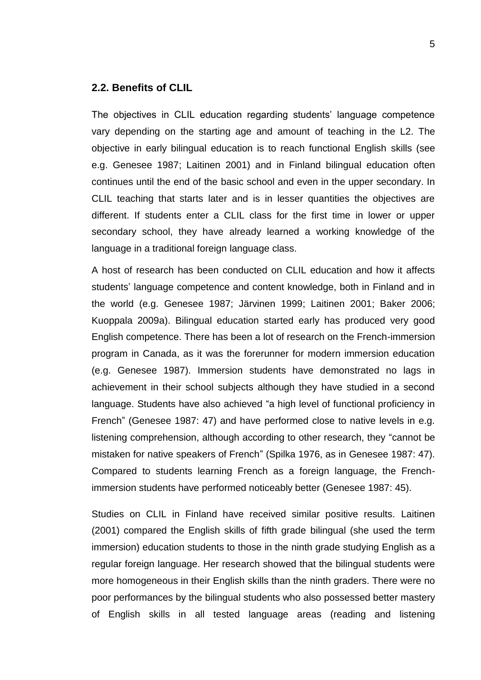#### <span id="page-6-0"></span>**2.2. Benefits of CLIL**

The objectives in CLIL education regarding students' language competence vary depending on the starting age and amount of teaching in the L2. The objective in early bilingual education is to reach functional English skills (see e.g. Genesee 1987; Laitinen 2001) and in Finland bilingual education often continues until the end of the basic school and even in the upper secondary. In CLIL teaching that starts later and is in lesser quantities the objectives are different. If students enter a CLIL class for the first time in lower or upper secondary school, they have already learned a working knowledge of the language in a traditional foreign language class.

A host of research has been conducted on CLIL education and how it affects students' language competence and content knowledge, both in Finland and in the world (e.g. Genesee 1987; Järvinen 1999; Laitinen 2001; Baker 2006; Kuoppala 2009a). Bilingual education started early has produced very good English competence. There has been a lot of research on the French-immersion program in Canada, as it was the forerunner for modern immersion education (e.g. Genesee 1987). Immersion students have demonstrated no lags in achievement in their school subjects although they have studied in a second language. Students have also achieved "a high level of functional proficiency in French" (Genesee 1987: 47) and have performed close to native levels in e.g. listening comprehension, although according to other research, they "cannot be mistaken for native speakers of French" (Spilka 1976, as in Genesee 1987: 47). Compared to students learning French as a foreign language, the Frenchimmersion students have performed noticeably better (Genesee 1987: 45).

Studies on CLIL in Finland have received similar positive results. Laitinen (2001) compared the English skills of fifth grade bilingual (she used the term immersion) education students to those in the ninth grade studying English as a regular foreign language. Her research showed that the bilingual students were more homogeneous in their English skills than the ninth graders. There were no poor performances by the bilingual students who also possessed better mastery of English skills in all tested language areas (reading and listening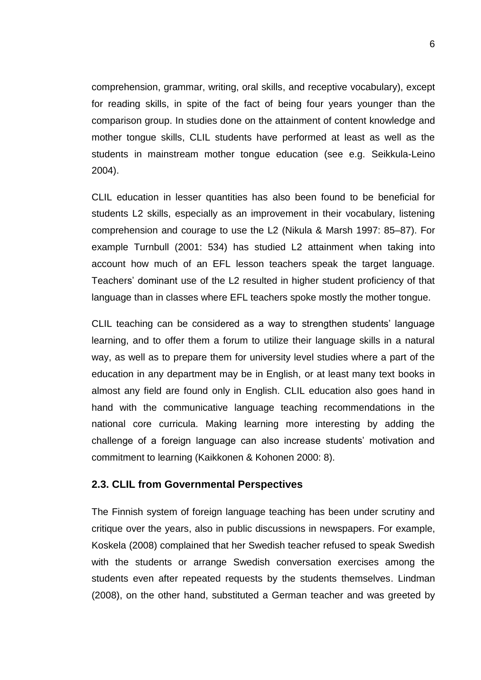comprehension, grammar, writing, oral skills, and receptive vocabulary), except for reading skills, in spite of the fact of being four years younger than the comparison group. In studies done on the attainment of content knowledge and mother tongue skills, CLIL students have performed at least as well as the students in mainstream mother tongue education (see e.g. Seikkula-Leino 2004).

CLIL education in lesser quantities has also been found to be beneficial for students L2 skills, especially as an improvement in their vocabulary, listening comprehension and courage to use the L2 (Nikula & Marsh 1997: 85–87). For example Turnbull (2001: 534) has studied L2 attainment when taking into account how much of an EFL lesson teachers speak the target language. Teachers' dominant use of the L2 resulted in higher student proficiency of that language than in classes where EFL teachers spoke mostly the mother tongue.

CLIL teaching can be considered as a way to strengthen students' language learning, and to offer them a forum to utilize their language skills in a natural way, as well as to prepare them for university level studies where a part of the education in any department may be in English, or at least many text books in almost any field are found only in English. CLIL education also goes hand in hand with the communicative language teaching recommendations in the national core curricula. Making learning more interesting by adding the challenge of a foreign language can also increase students' motivation and commitment to learning (Kaikkonen & Kohonen 2000: 8).

#### <span id="page-7-0"></span>**2.3. CLIL from Governmental Perspectives**

The Finnish system of foreign language teaching has been under scrutiny and critique over the years, also in public discussions in newspapers. For example, Koskela (2008) complained that her Swedish teacher refused to speak Swedish with the students or arrange Swedish conversation exercises among the students even after repeated requests by the students themselves. Lindman (2008), on the other hand, substituted a German teacher and was greeted by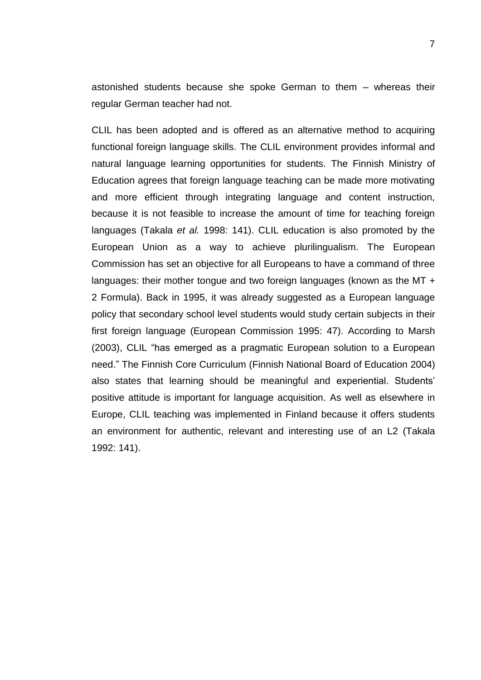astonished students because she spoke German to them – whereas their regular German teacher had not.

CLIL has been adopted and is offered as an alternative method to acquiring functional foreign language skills. The CLIL environment provides informal and natural language learning opportunities for students. The Finnish Ministry of Education agrees that foreign language teaching can be made more motivating and more efficient through integrating language and content instruction, because it is not feasible to increase the amount of time for teaching foreign languages (Takala *et al.* 1998: 141). CLIL education is also promoted by the European Union as a way to achieve plurilingualism. The European Commission has set an objective for all Europeans to have a command of three languages: their mother tongue and two foreign languages (known as the MT + 2 Formula). Back in 1995, it was already suggested as a European language policy that secondary school level students would study certain subjects in their first foreign language (European Commission 1995: 47). According to Marsh (2003), CLIL "has emerged as a pragmatic European solution to a European need." The Finnish Core Curriculum (Finnish National Board of Education 2004) also states that learning should be meaningful and experiential. Students' positive attitude is important for language acquisition. As well as elsewhere in Europe, CLIL teaching was implemented in Finland because it offers students an environment for authentic, relevant and interesting use of an L2 (Takala 1992: 141).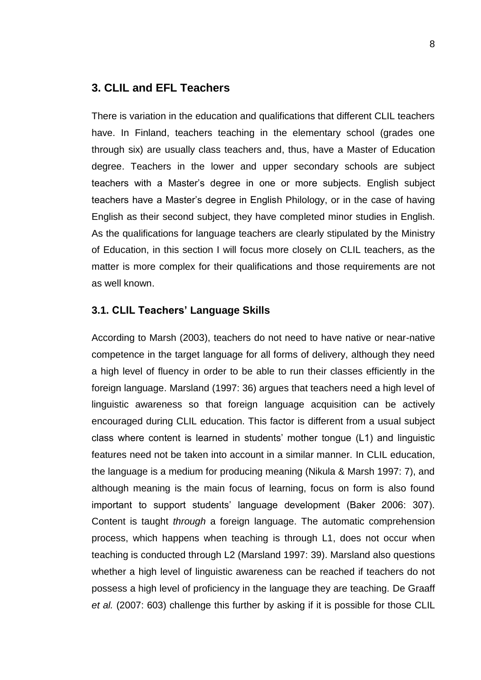## <span id="page-9-0"></span>**3. CLIL and EFL Teachers**

There is variation in the education and qualifications that different CLIL teachers have. In Finland, teachers teaching in the elementary school (grades one through six) are usually class teachers and, thus, have a Master of Education degree. Teachers in the lower and upper secondary schools are subject teachers with a Master's degree in one or more subjects. English subject teachers have a Master's degree in English Philology, or in the case of having English as their second subject, they have completed minor studies in English. As the qualifications for language teachers are clearly stipulated by the Ministry of Education, in this section I will focus more closely on CLIL teachers, as the matter is more complex for their qualifications and those requirements are not as well known.

#### <span id="page-9-1"></span>**3.1. CLIL Teachers' Language Skills**

According to Marsh (2003), teachers do not need to have native or near-native competence in the target language for all forms of delivery, although they need a high level of fluency in order to be able to run their classes efficiently in the foreign language. Marsland (1997: 36) argues that teachers need a high level of linguistic awareness so that foreign language acquisition can be actively encouraged during CLIL education. This factor is different from a usual subject class where content is learned in students' mother tongue (L1) and linguistic features need not be taken into account in a similar manner. In CLIL education, the language is a medium for producing meaning (Nikula & Marsh 1997: 7), and although meaning is the main focus of learning, focus on form is also found important to support students' language development (Baker 2006: 307). Content is taught *through* a foreign language. The automatic comprehension process, which happens when teaching is through L1, does not occur when teaching is conducted through L2 (Marsland 1997: 39). Marsland also questions whether a high level of linguistic awareness can be reached if teachers do not possess a high level of proficiency in the language they are teaching. De Graaff *et al.* (2007: 603) challenge this further by asking if it is possible for those CLIL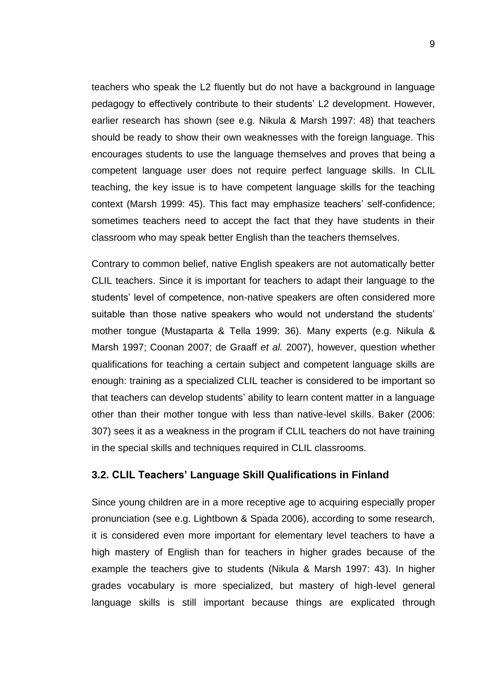teachers who speak the L2 fluently but do not have a background in language pedagogy to effectively contribute to their students' L2 development. However, earlier research has shown (see e.g. Nikula & Marsh 1997: 48) that teachers should be ready to show their own weaknesses with the foreign language. This encourages students to use the language themselves and proves that being a competent language user does not require perfect language skills. In CLIL teaching, the key issue is to have competent language skills for the teaching context (Marsh 1999: 45). This fact may emphasize teachers' self-confidence; sometimes teachers need to accept the fact that they have students in their classroom who may speak better English than the teachers themselves.

Contrary to common belief, native English speakers are not automatically better CLIL teachers. Since it is important for teachers to adapt their language to the students' level of competence, non-native speakers are often considered more suitable than those native speakers who would not understand the students' mother tongue (Mustaparta & Tella 1999: 36). Many experts (e.g. Nikula & Marsh 1997; Coonan 2007; de Graaff *et al.* 2007), however, question whether qualifications for teaching a certain subject and competent language skills are enough: training as a specialized CLIL teacher is considered to be important so that teachers can develop students' ability to learn content matter in a language other than their mother tongue with less than native-level skills. Baker (2006: 307) sees it as a weakness in the program if CLIL teachers do not have training in the special skills and techniques required in CLIL classrooms.

## <span id="page-10-0"></span>**3.2. CLIL Teachers' Language Skill Qualifications in Finland**

Since young children are in a more receptive age to acquiring especially proper pronunciation (see e.g. Lightbown & Spada 2006), according to some research, it is considered even more important for elementary level teachers to have a high mastery of English than for teachers in higher grades because of the example the teachers give to students (Nikula & Marsh 1997: 43). In higher grades vocabulary is more specialized, but mastery of high-level general language skills is still important because things are explicated through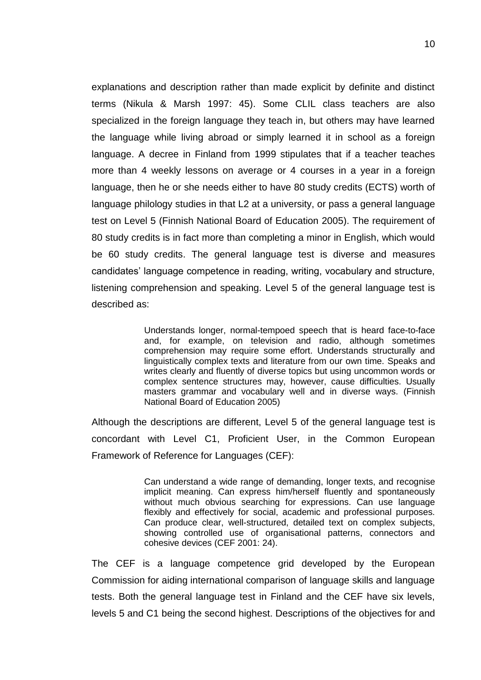explanations and description rather than made explicit by definite and distinct terms (Nikula & Marsh 1997: 45). Some CLIL class teachers are also specialized in the foreign language they teach in, but others may have learned the language while living abroad or simply learned it in school as a foreign language. A decree in Finland from 1999 stipulates that if a teacher teaches more than 4 weekly lessons on average or 4 courses in a year in a foreign language, then he or she needs either to have 80 study credits (ECTS) worth of language philology studies in that L2 at a university, or pass a general language test on Level 5 (Finnish National Board of Education 2005). The requirement of 80 study credits is in fact more than completing a minor in English, which would be 60 study credits. The general language test is diverse and measures candidates' language competence in reading, writing, vocabulary and structure, listening comprehension and speaking. Level 5 of the general language test is described as:

> Understands longer, normal-tempoed speech that is heard face-to-face and, for example, on television and radio, although sometimes comprehension may require some effort. Understands structurally and linguistically complex texts and literature from our own time. Speaks and writes clearly and fluently of diverse topics but using uncommon words or complex sentence structures may, however, cause difficulties. Usually masters grammar and vocabulary well and in diverse ways. (Finnish National Board of Education 2005)

Although the descriptions are different, Level 5 of the general language test is concordant with Level C1, Proficient User, in the Common European Framework of Reference for Languages (CEF):

> Can understand a wide range of demanding, longer texts, and recognise implicit meaning. Can express him/herself fluently and spontaneously without much obvious searching for expressions. Can use language flexibly and effectively for social, academic and professional purposes. Can produce clear, well-structured, detailed text on complex subjects, showing controlled use of organisational patterns, connectors and cohesive devices (CEF 2001: 24).

The CEF is a language competence grid developed by the European Commission for aiding international comparison of language skills and language tests. Both the general language test in Finland and the CEF have six levels, levels 5 and C1 being the second highest. Descriptions of the objectives for and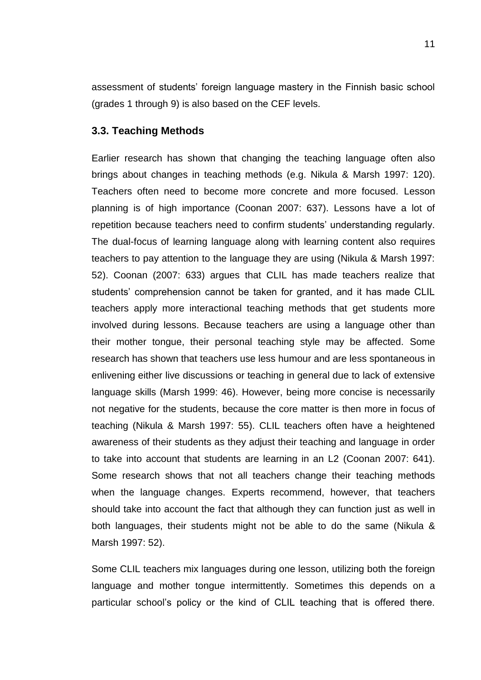assessment of students' foreign language mastery in the Finnish basic school (grades 1 through 9) is also based on the CEF levels.

#### <span id="page-12-0"></span>**3.3. Teaching Methods**

Earlier research has shown that changing the teaching language often also brings about changes in teaching methods (e.g. Nikula & Marsh 1997: 120). Teachers often need to become more concrete and more focused. Lesson planning is of high importance (Coonan 2007: 637). Lessons have a lot of repetition because teachers need to confirm students' understanding regularly. The dual-focus of learning language along with learning content also requires teachers to pay attention to the language they are using (Nikula & Marsh 1997: 52). Coonan (2007: 633) argues that CLIL has made teachers realize that students' comprehension cannot be taken for granted, and it has made CLIL teachers apply more interactional teaching methods that get students more involved during lessons. Because teachers are using a language other than their mother tongue, their personal teaching style may be affected. Some research has shown that teachers use less humour and are less spontaneous in enlivening either live discussions or teaching in general due to lack of extensive language skills (Marsh 1999: 46). However, being more concise is necessarily not negative for the students, because the core matter is then more in focus of teaching (Nikula & Marsh 1997: 55). CLIL teachers often have a heightened awareness of their students as they adjust their teaching and language in order to take into account that students are learning in an L2 (Coonan 2007: 641). Some research shows that not all teachers change their teaching methods when the language changes. Experts recommend, however, that teachers should take into account the fact that although they can function just as well in both languages, their students might not be able to do the same (Nikula & Marsh 1997: 52).

Some CLIL teachers mix languages during one lesson, utilizing both the foreign language and mother tongue intermittently. Sometimes this depends on a particular school's policy or the kind of CLIL teaching that is offered there.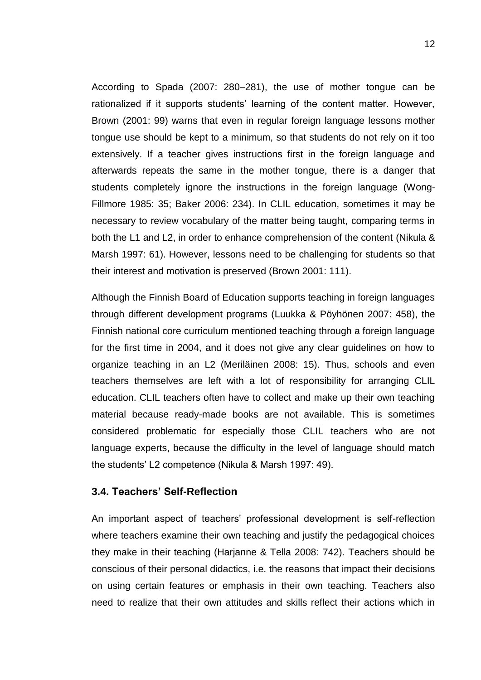According to Spada (2007: 280–281), the use of mother tongue can be rationalized if it supports students' learning of the content matter. However, Brown (2001: 99) warns that even in regular foreign language lessons mother tongue use should be kept to a minimum, so that students do not rely on it too extensively. If a teacher gives instructions first in the foreign language and afterwards repeats the same in the mother tongue, there is a danger that students completely ignore the instructions in the foreign language (Wong-Fillmore 1985: 35; Baker 2006: 234). In CLIL education, sometimes it may be necessary to review vocabulary of the matter being taught, comparing terms in both the L1 and L2, in order to enhance comprehension of the content (Nikula & Marsh 1997: 61). However, lessons need to be challenging for students so that their interest and motivation is preserved (Brown 2001: 111).

Although the Finnish Board of Education supports teaching in foreign languages through different development programs (Luukka & Pöyhönen 2007: 458), the Finnish national core curriculum mentioned teaching through a foreign language for the first time in 2004, and it does not give any clear guidelines on how to organize teaching in an L2 (Meriläinen 2008: 15). Thus, schools and even teachers themselves are left with a lot of responsibility for arranging CLIL education. CLIL teachers often have to collect and make up their own teaching material because ready-made books are not available. This is sometimes considered problematic for especially those CLIL teachers who are not language experts, because the difficulty in the level of language should match the students' L2 competence (Nikula & Marsh 1997: 49).

## <span id="page-13-0"></span>**3.4. Teachers' Self-Reflection**

An important aspect of teachers' professional development is self-reflection where teachers examine their own teaching and justify the pedagogical choices they make in their teaching (Harjanne & Tella 2008: 742). Teachers should be conscious of their personal didactics, i.e. the reasons that impact their decisions on using certain features or emphasis in their own teaching. Teachers also need to realize that their own attitudes and skills reflect their actions which in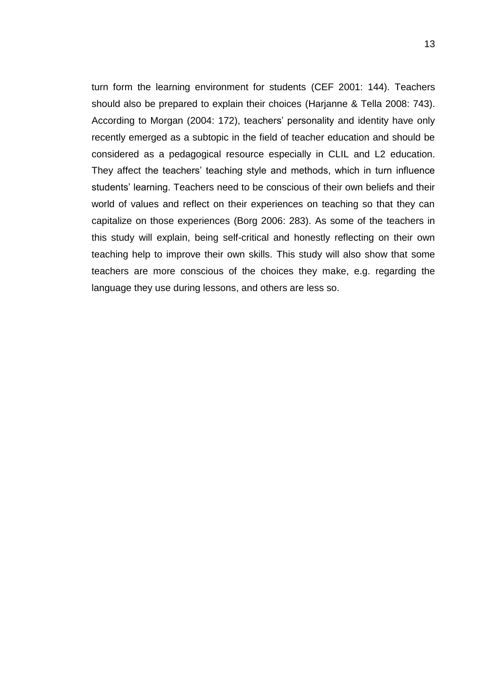turn form the learning environment for students (CEF 2001: 144). Teachers should also be prepared to explain their choices (Harjanne & Tella 2008: 743). According to Morgan (2004: 172), teachers' personality and identity have only recently emerged as a subtopic in the field of teacher education and should be considered as a pedagogical resource especially in CLIL and L2 education. They affect the teachers' teaching style and methods, which in turn influence students' learning. Teachers need to be conscious of their own beliefs and their world of values and reflect on their experiences on teaching so that they can capitalize on those experiences (Borg 2006: 283). As some of the teachers in this study will explain, being self-critical and honestly reflecting on their own teaching help to improve their own skills. This study will also show that some teachers are more conscious of the choices they make, e.g. regarding the language they use during lessons, and others are less so.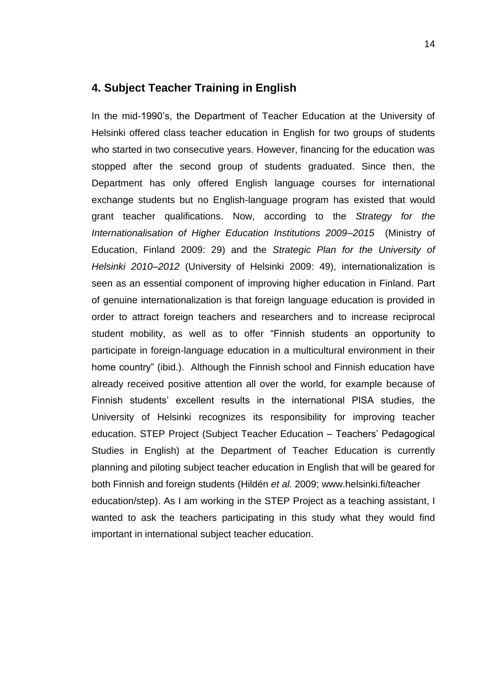## <span id="page-15-0"></span>**4. Subject Teacher Training in English**

In the mid-1990's, the Department of Teacher Education at the University of Helsinki offered class teacher education in English for two groups of students who started in two consecutive years. However, financing for the education was stopped after the second group of students graduated. Since then, the Department has only offered English language courses for international exchange students but no English-language program has existed that would grant teacher qualifications. Now, according to the *[Strategy for the](http://www.minedu.fi/OPM/Julkaisut/2009/Korkeakoulujen_kansainvalistymisstrategia_2009_2015.html?lang=fi&extra_locale=en)  [Internationalisation of Higher Education Institutions 2009–2015](http://www.minedu.fi/OPM/Julkaisut/2009/Korkeakoulujen_kansainvalistymisstrategia_2009_2015.html?lang=fi&extra_locale=en)* (Ministry of Education, Finland 2009: 29) and the *Strategic Plan for the University of Helsinki 2010–2012* (University of Helsinki 2009: 49), internationalization is seen as an essential component of improving higher education in Finland. Part of genuine internationalization is that foreign language education is provided in order to attract foreign teachers and researchers and to increase reciprocal student mobility, as well as to offer "Finnish students an opportunity to participate in foreign-language education in a multicultural environment in their home country" (ibid.). Although the Finnish school and Finnish education have already received positive attention all over the world, for example because of Finnish students' excellent results in the international PISA studies, the University of Helsinki recognizes its responsibility for improving teacher education. STEP Project (Subject Teacher Education – Teachers' Pedagogical Studies in English) at the Department of Teacher Education is currently planning and piloting subject teacher education in English that will be geared for both Finnish and foreign students (Hildén *et al.* 2009; www.helsinki.fi/teacher education/step). As I am working in the STEP Project as a teaching assistant, I wanted to ask the teachers participating in this study what they would find important in international subject teacher education.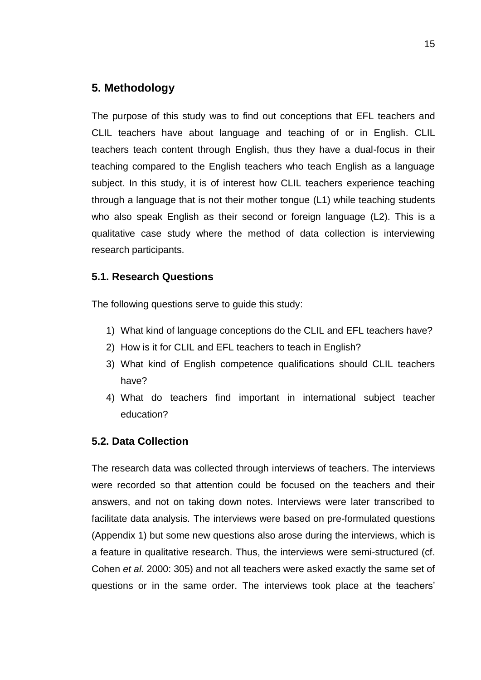## <span id="page-16-0"></span>**5. Methodology**

The purpose of this study was to find out conceptions that EFL teachers and CLIL teachers have about language and teaching of or in English. CLIL teachers teach content through English, thus they have a dual-focus in their teaching compared to the English teachers who teach English as a language subject. In this study, it is of interest how CLIL teachers experience teaching through a language that is not their mother tongue (L1) while teaching students who also speak English as their second or foreign language (L2). This is a qualitative case study where the method of data collection is interviewing research participants.

## <span id="page-16-1"></span>**5.1. Research Questions**

The following questions serve to guide this study:

- 1) What kind of language conceptions do the CLIL and EFL teachers have?
- 2) How is it for CLIL and EFL teachers to teach in English?
- 3) What kind of English competence qualifications should CLIL teachers have?
- 4) What do teachers find important in international subject teacher education?

## <span id="page-16-2"></span>**5.2. Data Collection**

The research data was collected through interviews of teachers. The interviews were recorded so that attention could be focused on the teachers and their answers, and not on taking down notes. Interviews were later transcribed to facilitate data analysis. The interviews were based on pre-formulated questions (Appendix 1) but some new questions also arose during the interviews, which is a feature in qualitative research. Thus, the interviews were semi-structured (cf. Cohen *et al.* 2000: 305) and not all teachers were asked exactly the same set of questions or in the same order. The interviews took place at the teachers'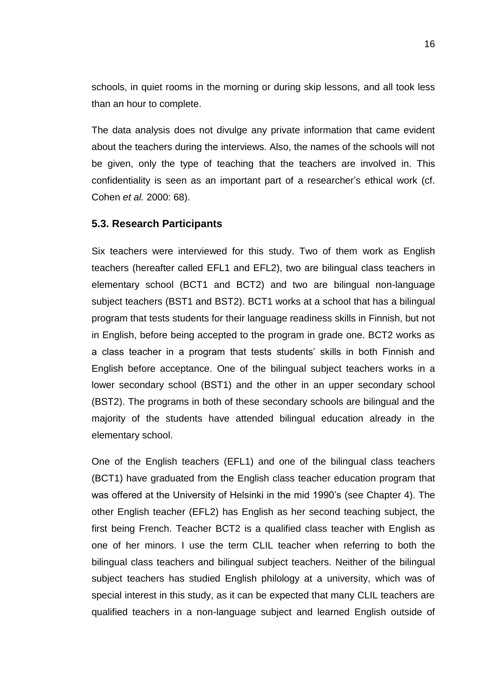schools, in quiet rooms in the morning or during skip lessons, and all took less than an hour to complete.

The data analysis does not divulge any private information that came evident about the teachers during the interviews. Also, the names of the schools will not be given, only the type of teaching that the teachers are involved in. This confidentiality is seen as an important part of a researcher's ethical work (cf. Cohen *et al.* 2000: 68).

#### <span id="page-17-0"></span>**5.3. Research Participants**

Six teachers were interviewed for this study. Two of them work as English teachers (hereafter called EFL1 and EFL2), two are bilingual class teachers in elementary school (BCT1 and BCT2) and two are bilingual non-language subject teachers (BST1 and BST2). BCT1 works at a school that has a bilingual program that tests students for their language readiness skills in Finnish, but not in English, before being accepted to the program in grade one. BCT2 works as a class teacher in a program that tests students' skills in both Finnish and English before acceptance. One of the bilingual subject teachers works in a lower secondary school (BST1) and the other in an upper secondary school (BST2). The programs in both of these secondary schools are bilingual and the majority of the students have attended bilingual education already in the elementary school.

One of the English teachers (EFL1) and one of the bilingual class teachers (BCT1) have graduated from the English class teacher education program that was offered at the University of Helsinki in the mid 1990's (see Chapter 4). The other English teacher (EFL2) has English as her second teaching subject, the first being French. Teacher BCT2 is a qualified class teacher with English as one of her minors. I use the term CLIL teacher when referring to both the bilingual class teachers and bilingual subject teachers. Neither of the bilingual subject teachers has studied English philology at a university, which was of special interest in this study, as it can be expected that many CLIL teachers are qualified teachers in a non-language subject and learned English outside of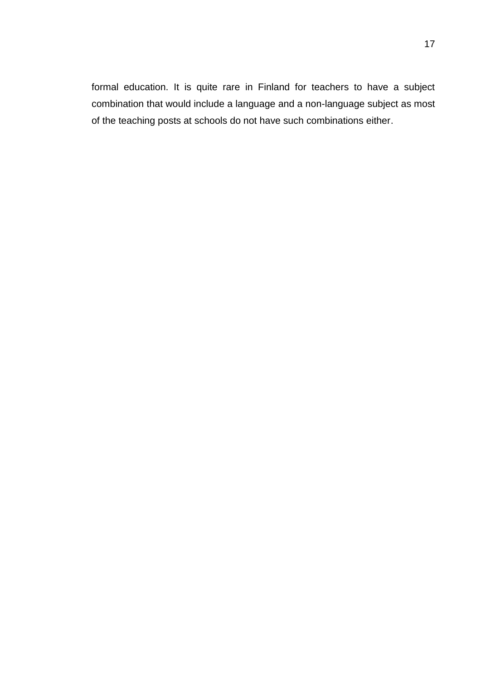formal education. It is quite rare in Finland for teachers to have a subject combination that would include a language and a non-language subject as most of the teaching posts at schools do not have such combinations either.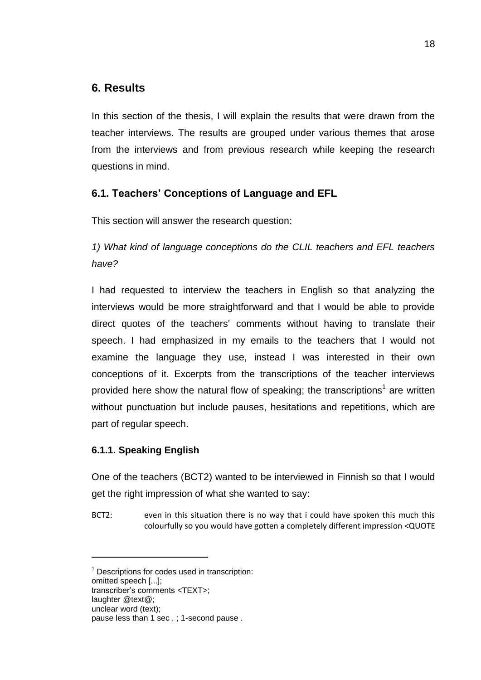# <span id="page-19-0"></span>**6. Results**

In this section of the thesis, I will explain the results that were drawn from the teacher interviews. The results are grouped under various themes that arose from the interviews and from previous research while keeping the research questions in mind.

# <span id="page-19-1"></span>**6.1. Teachers' Conceptions of Language and EFL**

This section will answer the research question:

*1) What kind of language conceptions do the CLIL teachers and EFL teachers have?* 

I had requested to interview the teachers in English so that analyzing the interviews would be more straightforward and that I would be able to provide direct quotes of the teachers' comments without having to translate their speech. I had emphasized in my emails to the teachers that I would not examine the language they use, instead I was interested in their own conceptions of it. Excerpts from the transcriptions of the teacher interviews provided here show the natural flow of speaking; the transcriptions<sup>1</sup> are written without punctuation but include pauses, hesitations and repetitions, which are part of regular speech.

# <span id="page-19-2"></span>**6.1.1. Speaking English**

One of the teachers (BCT2) wanted to be interviewed in Finnish so that I would get the right impression of what she wanted to say:

BCT2: even in this situation there is no way that i could have spoken this much this colourfully so you would have gotten a completely different impression <QUOTE

l

 $1$  Descriptions for codes used in transcription:

omitted speech [...];

transcriber's comments <TEXT>;

laughter @text@;

unclear word (text);

pause less than 1 sec , ; 1-second pause .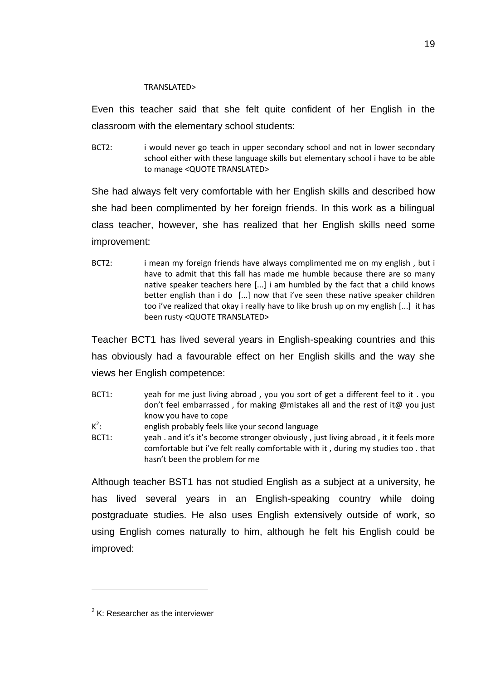#### TRANSLATED>

Even this teacher said that she felt quite confident of her English in the classroom with the elementary school students:

BCT2: i would never go teach in upper secondary school and not in lower secondary school either with these language skills but elementary school i have to be able to manage <QUOTE TRANSLATED>

She had always felt very comfortable with her English skills and described how she had been complimented by her foreign friends. In this work as a bilingual class teacher, however, she has realized that her English skills need some improvement:

BCT2: i mean my foreign friends have always complimented me on my english, but i have to admit that this fall has made me humble because there are so many native speaker teachers here [...] i am humbled by the fact that a child knows better english than i do [...] now that i've seen these native speaker children too i've realized that okay i really have to like brush up on my english [...] it has been rusty <QUOTE TRANSLATED>

Teacher BCT1 has lived several years in English-speaking countries and this has obviously had a favourable effect on her English skills and the way she views her English competence:

| BCT1:   | yeah for me just living abroad, you you sort of get a different feel to it. you     |
|---------|-------------------------------------------------------------------------------------|
|         | don't feel embarrassed, for making @mistakes all and the rest of it@ you just       |
|         | know you have to cope                                                               |
| $K^2$ : | english probably feels like your second language                                    |
| BCT1:   | yeah. and it's it's become stronger obviously, just living abroad, it it feels more |
|         | comfortable but i've felt really comfortable with it, during my studies too. that   |
|         | hasn't been the problem for me                                                      |

Although teacher BST1 has not studied English as a subject at a university, he has lived several years in an English-speaking country while doing postgraduate studies. He also uses English extensively outside of work, so using English comes naturally to him, although he felt his English could be improved:

l

 $2$  K: Researcher as the interviewer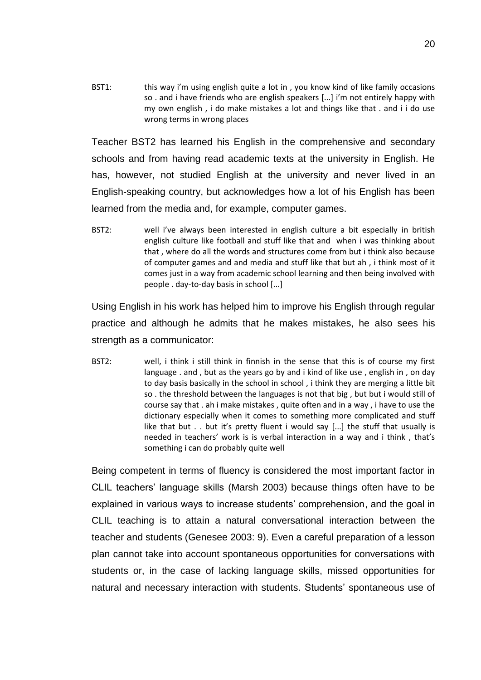BST1: this way i'm using english quite a lot in, you know kind of like family occasions so . and i have friends who are english speakers [...] i'm not entirely happy with my own english , i do make mistakes a lot and things like that . and i i do use wrong terms in wrong places

Teacher BST2 has learned his English in the comprehensive and secondary schools and from having read academic texts at the university in English. He has, however, not studied English at the university and never lived in an English-speaking country, but acknowledges how a lot of his English has been learned from the media and, for example, computer games.

BST2: well i've always been interested in english culture a bit especially in british english culture like football and stuff like that and when i was thinking about that , where do all the words and structures come from but i think also because of computer games and and media and stuff like that but ah , i think most of it comes just in a way from academic school learning and then being involved with people . day-to-day basis in school [...]

Using English in his work has helped him to improve his English through regular practice and although he admits that he makes mistakes, he also sees his strength as a communicator:

BST2: well, i think i still think in finnish in the sense that this is of course my first language . and , but as the years go by and i kind of like use , english in , on day to day basis basically in the school in school , i think they are merging a little bit so . the threshold between the languages is not that big , but but i would still of course say that . ah i make mistakes , quite often and in a way , i have to use the dictionary especially when it comes to something more complicated and stuff like that but . . but it's pretty fluent i would say [...] the stuff that usually is needed in teachers' work is is verbal interaction in a way and i think , that's something i can do probably quite well

Being competent in terms of fluency is considered the most important factor in CLIL teachers' language skills (Marsh 2003) because things often have to be explained in various ways to increase students' comprehension, and the goal in CLIL teaching is to attain a natural conversational interaction between the teacher and students (Genesee 2003: 9). Even a careful preparation of a lesson plan cannot take into account spontaneous opportunities for conversations with students or, in the case of lacking language skills, missed opportunities for natural and necessary interaction with students. Students' spontaneous use of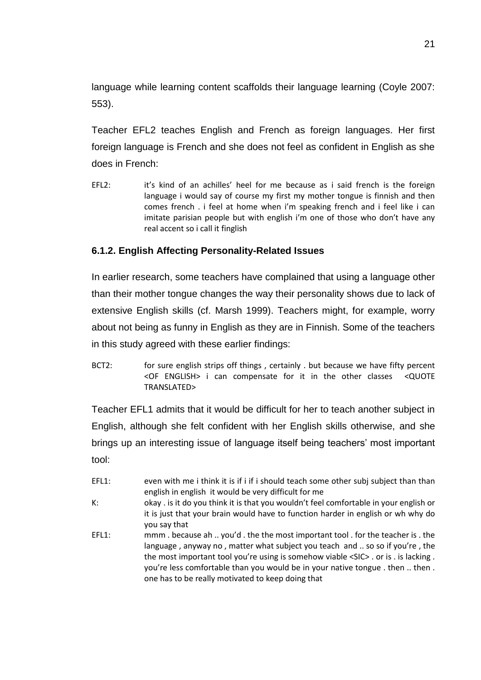language while learning content scaffolds their language learning (Coyle 2007: 553).

Teacher EFL2 teaches English and French as foreign languages. Her first foreign language is French and she does not feel as confident in English as she does in French:

EFL2: it's kind of an achilles' heel for me because as i said french is the foreign language i would say of course my first my mother tongue is finnish and then comes french . i feel at home when i'm speaking french and i feel like i can imitate parisian people but with english i'm one of those who don't have any real accent so i call it finglish

## <span id="page-22-0"></span>**6.1.2. English Affecting Personality-Related Issues**

In earlier research, some teachers have complained that using a language other than their mother tongue changes the way their personality shows due to lack of extensive English skills (cf. Marsh 1999). Teachers might, for example, worry about not being as funny in English as they are in Finnish. Some of the teachers in this study agreed with these earlier findings:

BCT2: for sure english strips off things, certainly . but because we have fifty percent <OF ENGLISH> i can compensate for it in the other classes <QUOTE TRANSLATED>

Teacher EFL1 admits that it would be difficult for her to teach another subject in English, although she felt confident with her English skills otherwise, and she brings up an interesting issue of language itself being teachers' most important tool:

- EFL1: even with me i think it is if i if i should teach some other subj subject than than english in english it would be very difficult for me
- K: okay . is it do you think it is that you wouldn't feel comfortable in your english or it is just that your brain would have to function harder in english or wh why do you say that
- EFL1: mmm . because ah .. you'd . the the most important tool . for the teacher is . the language , anyway no , matter what subject you teach and .. so so if you're , the the most important tool you're using is somehow viable <SIC> . or is . is lacking . you're less comfortable than you would be in your native tongue . then .. then . one has to be really motivated to keep doing that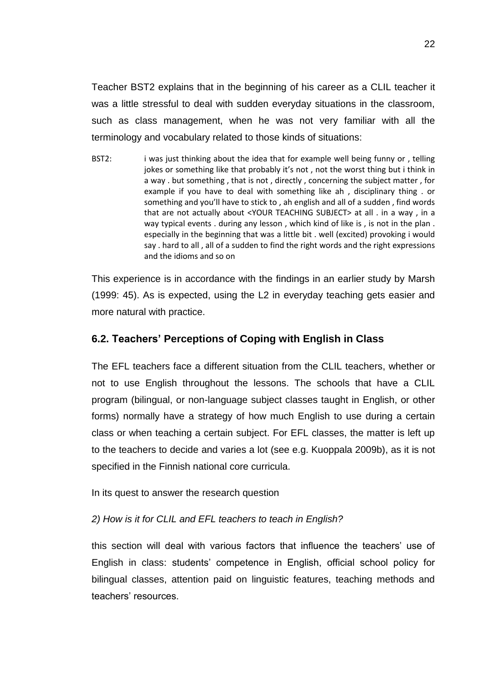Teacher BST2 explains that in the beginning of his career as a CLIL teacher it was a little stressful to deal with sudden everyday situations in the classroom, such as class management, when he was not very familiar with all the terminology and vocabulary related to those kinds of situations:

BST2: i was just thinking about the idea that for example well being funny or, telling jokes or something like that probably it's not, not the worst thing but i think in a way . but something , that is not , directly , concerning the subject matter , for example if you have to deal with something like ah , disciplinary thing . or something and you'll have to stick to , ah english and all of a sudden , find words that are not actually about <YOUR TEACHING SUBJECT> at all . in a way , in a way typical events . during any lesson , which kind of like is , is not in the plan . especially in the beginning that was a little bit . well (excited) provoking i would say . hard to all , all of a sudden to find the right words and the right expressions and the idioms and so on

This experience is in accordance with the findings in an earlier study by Marsh (1999: 45). As is expected, using the L2 in everyday teaching gets easier and more natural with practice.

## <span id="page-23-0"></span>**6.2. Teachers' Perceptions of Coping with English in Class**

The EFL teachers face a different situation from the CLIL teachers, whether or not to use English throughout the lessons. The schools that have a CLIL program (bilingual, or non-language subject classes taught in English, or other forms) normally have a strategy of how much English to use during a certain class or when teaching a certain subject. For EFL classes, the matter is left up to the teachers to decide and varies a lot (see e.g. Kuoppala 2009b), as it is not specified in the Finnish national core curricula.

In its quest to answer the research question

## *2) How is it for CLIL and EFL teachers to teach in English?*

this section will deal with various factors that influence the teachers' use of English in class: students' competence in English, official school policy for bilingual classes, attention paid on linguistic features, teaching methods and teachers' resources.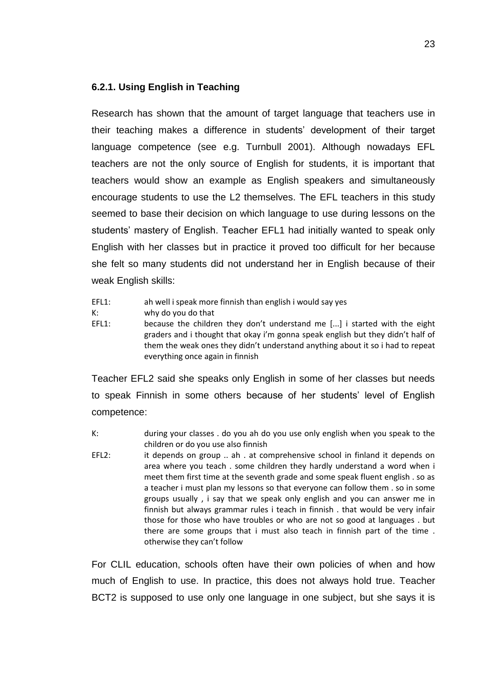## <span id="page-24-0"></span>**6.2.1. Using English in Teaching**

Research has shown that the amount of target language that teachers use in their teaching makes a difference in students' development of their target language competence (see e.g. Turnbull 2001). Although nowadays EFL teachers are not the only source of English for students, it is important that teachers would show an example as English speakers and simultaneously encourage students to use the L2 themselves. The EFL teachers in this study seemed to base their decision on which language to use during lessons on the students' mastery of English. Teacher EFL1 had initially wanted to speak only English with her classes but in practice it proved too difficult for her because she felt so many students did not understand her in English because of their weak English skills:

- EFL1: ah well i speak more finnish than english i would say yes
- K: why do you do that
- EFL1: because the children they don't understand me [...] i started with the eight graders and i thought that okay i'm gonna speak english but they didn't half of them the weak ones they didn't understand anything about it so i had to repeat everything once again in finnish

Teacher EFL2 said she speaks only English in some of her classes but needs to speak Finnish in some others because of her students' level of English competence:

- K: during your classes . do you ah do you use only english when you speak to the children or do you use also finnish
- EFL2: it depends on group .. ah . at comprehensive school in finland it depends on area where you teach . some children they hardly understand a word when i meet them first time at the seventh grade and some speak fluent english . so as a teacher i must plan my lessons so that everyone can follow them . so in some groups usually , i say that we speak only english and you can answer me in finnish but always grammar rules i teach in finnish . that would be very infair those for those who have troubles or who are not so good at languages . but there are some groups that i must also teach in finnish part of the time . otherwise they can't follow

For CLIL education, schools often have their own policies of when and how much of English to use. In practice, this does not always hold true. Teacher BCT2 is supposed to use only one language in one subject, but she says it is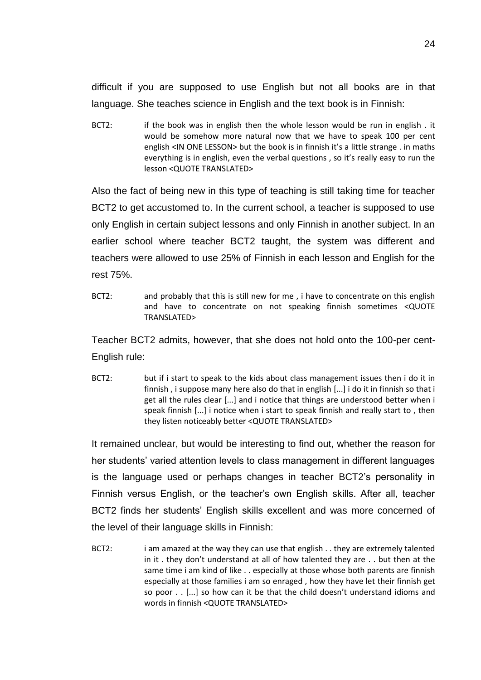difficult if you are supposed to use English but not all books are in that language. She teaches science in English and the text book is in Finnish:

BCT2: if the book was in english then the whole lesson would be run in english. it would be somehow more natural now that we have to speak 100 per cent english <IN ONE LESSON> but the book is in finnish it's a little strange . in maths everything is in english, even the verbal questions , so it's really easy to run the lesson <QUOTE TRANSLATED>

Also the fact of being new in this type of teaching is still taking time for teacher BCT2 to get accustomed to. In the current school, a teacher is supposed to use only English in certain subject lessons and only Finnish in another subject. In an earlier school where teacher BCT2 taught, the system was different and teachers were allowed to use 25% of Finnish in each lesson and English for the rest 75%.

BCT2: and probably that this is still new for me, i have to concentrate on this english and have to concentrate on not speaking finnish sometimes <QUOTE TRANSLATED>

Teacher BCT2 admits, however, that she does not hold onto the 100-per cent-English rule:

BCT2: but if i start to speak to the kids about class management issues then i do it in finnish , i suppose many here also do that in english [...] i do it in finnish so that i get all the rules clear [...] and i notice that things are understood better when i speak finnish [...] i notice when i start to speak finnish and really start to , then they listen noticeably better <QUOTE TRANSLATED>

It remained unclear, but would be interesting to find out, whether the reason for her students' varied attention levels to class management in different languages is the language used or perhaps changes in teacher BCT2's personality in Finnish versus English, or the teacher's own English skills. After all, teacher BCT2 finds her students' English skills excellent and was more concerned of the level of their language skills in Finnish:

BCT2: i am amazed at the way they can use that english . . they are extremely talented in it . they don't understand at all of how talented they are . . but then at the same time i am kind of like . . especially at those whose both parents are finnish especially at those families i am so enraged , how they have let their finnish get so poor . . [...] so how can it be that the child doesn't understand idioms and words in finnish <QUOTE TRANSLATED>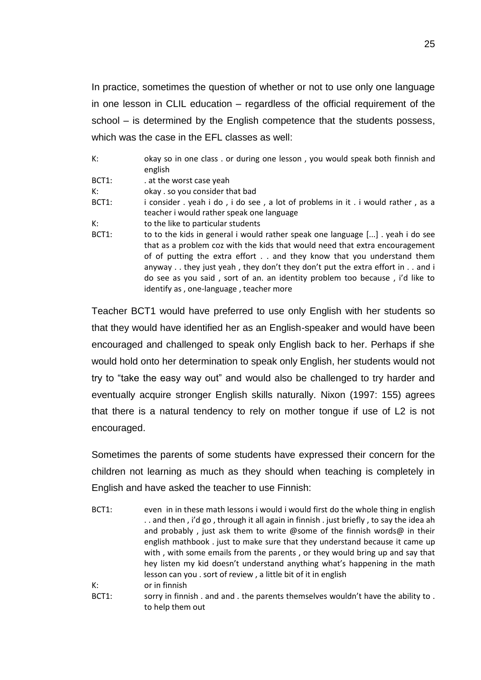In practice, sometimes the question of whether or not to use only one language in one lesson in CLIL education – regardless of the official requirement of the school – is determined by the English competence that the students possess, which was the case in the EFL classes as well:

| K:    | okay so in one class . or during one lesson, you would speak both finnish and<br>english                                                                                                                                                                                                                                                                                                                                                                |
|-------|---------------------------------------------------------------------------------------------------------------------------------------------------------------------------------------------------------------------------------------------------------------------------------------------------------------------------------------------------------------------------------------------------------------------------------------------------------|
| BCT1: | . at the worst case yeah                                                                                                                                                                                                                                                                                                                                                                                                                                |
| К:    | okay . so you consider that bad                                                                                                                                                                                                                                                                                                                                                                                                                         |
| BCT1: | i consider . yeah i do, i do see, a lot of problems in it . i would rather, as a<br>teacher i would rather speak one language                                                                                                                                                                                                                                                                                                                           |
| K:    | to the like to particular students                                                                                                                                                                                                                                                                                                                                                                                                                      |
| BCT1: | to to the kids in general i would rather speak one language [] yeah i do see<br>that as a problem coz with the kids that would need that extra encouragement<br>of of putting the extra effort and they know that you understand them<br>anyway they just yeah, they don't they don't put the extra effort in $\ldots$ and i<br>do see as you said, sort of an. an identity problem too because, i'd like to<br>identify as, one-language, teacher more |

Teacher BCT1 would have preferred to use only English with her students so that they would have identified her as an English-speaker and would have been encouraged and challenged to speak only English back to her. Perhaps if she would hold onto her determination to speak only English, her students would not try to "take the easy way out" and would also be challenged to try harder and eventually acquire stronger English skills naturally. Nixon (1997: 155) agrees that there is a natural tendency to rely on mother tongue if use of L2 is not encouraged.

Sometimes the parents of some students have expressed their concern for the children not learning as much as they should when teaching is completely in English and have asked the teacher to use Finnish:

| BCT1: | even in in these math lessons i would i would first do the whole thing in english   |
|-------|-------------------------------------------------------------------------------------|
|       | and then, i'd go, through it all again in finnish, just briefly, to say the idea ah |
|       | and probably, just ask them to write @some of the finnish words@ in their           |
|       | english mathbook. just to make sure that they understand because it came up         |
|       | with, with some emails from the parents, or they would bring up and say that        |
|       | hey listen my kid doesn't understand anything what's happening in the math          |
|       | lesson can you . sort of review, a little bit of it in english                      |
| K:    | or in finnish                                                                       |
| BCT1: | sorry in finnish. and and . the parents themselves wouldn't have the ability to.    |
|       | to help them out                                                                    |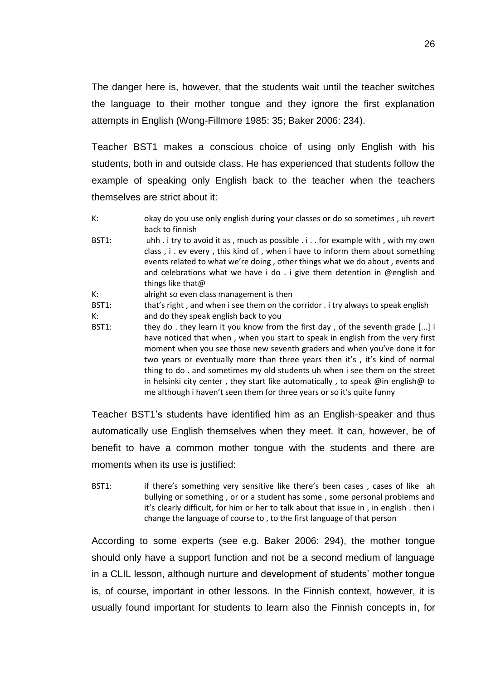The danger here is, however, that the students wait until the teacher switches the language to their mother tongue and they ignore the first explanation attempts in English (Wong-Fillmore 1985: 35; Baker 2006: 234).

Teacher BST1 makes a conscious choice of using only English with his students, both in and outside class. He has experienced that students follow the example of speaking only English back to the teacher when the teachers themselves are strict about it:

- K: okay do you use only english during your classes or do so sometimes , uh revert back to finnish
- BST1: uhh . i try to avoid it as , much as possible . i . . for example with , with my own class , i . ev every , this kind of , when i have to inform them about something events related to what we're doing , other things what we do about , events and and celebrations what we have i do . i give them detention in @english and things like that@
- K: alright so even class management is then
- BST1: that's right , and when i see them on the corridor . i try always to speak english
- K: and do they speak english back to you
- BST1: they do . they learn it you know from the first day, of the seventh grade [...] i have noticed that when , when you start to speak in english from the very first moment when you see those new seventh graders and when you've done it for two years or eventually more than three years then it's , it's kind of normal thing to do . and sometimes my old students uh when i see them on the street in helsinki city center , they start like automatically , to speak @in english@ to me although i haven't seen them for three years or so it's quite funny

Teacher BST1's students have identified him as an English-speaker and thus automatically use English themselves when they meet. It can, however, be of benefit to have a common mother tongue with the students and there are moments when its use is justified:

BST1: if there's something very sensitive like there's been cases, cases of like ah bullying or something , or or a student has some , some personal problems and it's clearly difficult, for him or her to talk about that issue in , in english . then i change the language of course to , to the first language of that person

According to some experts (see e.g. Baker 2006: 294), the mother tongue should only have a support function and not be a second medium of language in a CLIL lesson, although nurture and development of students' mother tongue is, of course, important in other lessons. In the Finnish context, however, it is usually found important for students to learn also the Finnish concepts in, for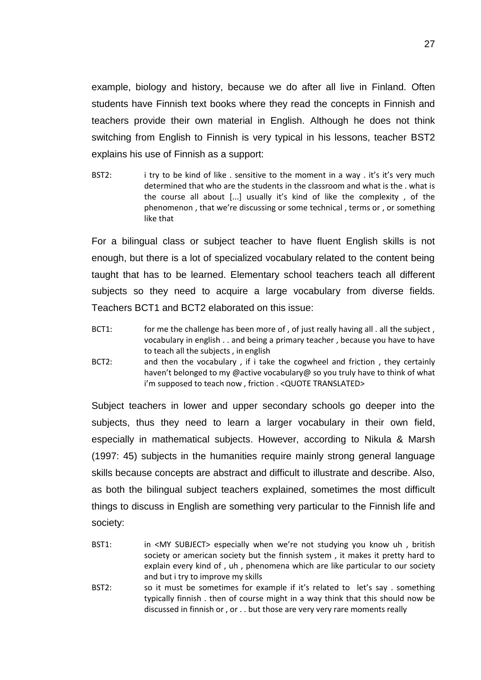example, biology and history, because we do after all live in Finland. Often students have Finnish text books where they read the concepts in Finnish and teachers provide their own material in English. Although he does not think switching from English to Finnish is very typical in his lessons, teacher BST2 explains his use of Finnish as a support:

BST2: i try to be kind of like . sensitive to the moment in a way . it's it's very much determined that who are the students in the classroom and what is the . what is the course all about  $[...]$  usually it's kind of like the complexity, of the phenomenon , that we're discussing or some technical , terms or , or something like that

For a bilingual class or subject teacher to have fluent English skills is not enough, but there is a lot of specialized vocabulary related to the content being taught that has to be learned. Elementary school teachers teach all different subjects so they need to acquire a large vocabulary from diverse fields. Teachers BCT1 and BCT2 elaborated on this issue:

- BCT1: for me the challenge has been more of, of just really having all . all the subject, vocabulary in english . . and being a primary teacher , because you have to have to teach all the subjects , in english
- BCT2: and then the vocabulary , if i take the cogwheel and friction , they certainly haven't belonged to my @active vocabulary@ so you truly have to think of what i'm supposed to teach now , friction . <QUOTE TRANSLATED>

Subject teachers in lower and upper secondary schools go deeper into the subjects, thus they need to learn a larger vocabulary in their own field, especially in mathematical subjects. However, according to Nikula & Marsh (1997: 45) subjects in the humanities require mainly strong general language skills because concepts are abstract and difficult to illustrate and describe. Also, as both the bilingual subject teachers explained, sometimes the most difficult things to discuss in English are something very particular to the Finnish life and society:

- BST1: in <MY SUBJECT> especially when we're not studying you know uh, british society or american society but the finnish system , it makes it pretty hard to explain every kind of , uh , phenomena which are like particular to our society and but i try to improve my skills
- BST2: so it must be sometimes for example if it's related to let's say . something typically finnish . then of course might in a way think that this should now be discussed in finnish or , or . . but those are very very rare moments really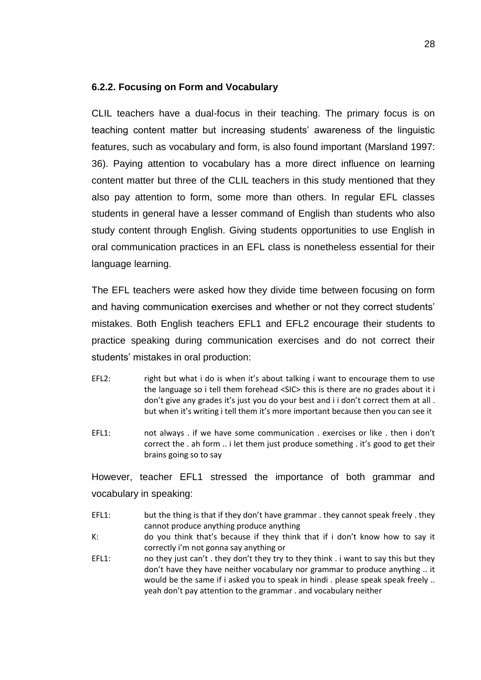## <span id="page-29-0"></span>**6.2.2. Focusing on Form and Vocabulary**

CLIL teachers have a dual-focus in their teaching. The primary focus is on teaching content matter but increasing students' awareness of the linguistic features, such as vocabulary and form, is also found important (Marsland 1997: 36). Paying attention to vocabulary has a more direct influence on learning content matter but three of the CLIL teachers in this study mentioned that they also pay attention to form, some more than others. In regular EFL classes students in general have a lesser command of English than students who also study content through English. Giving students opportunities to use English in oral communication practices in an EFL class is nonetheless essential for their language learning.

The EFL teachers were asked how they divide time between focusing on form and having communication exercises and whether or not they correct students' mistakes. Both English teachers EFL1 and EFL2 encourage their students to practice speaking during communication exercises and do not correct their students' mistakes in oral production:

- EFL2: right but what i do is when it's about talking i want to encourage them to use the language so i tell them forehead <SIC> this is there are no grades about it i don't give any grades it's just you do your best and i i don't correct them at all . but when it's writing i tell them it's more important because then you can see it
- EFL1: not always . if we have some communication . exercises or like . then i don't correct the . ah form .. i let them just produce something . it's good to get their brains going so to say

However, teacher EFL1 stressed the importance of both grammar and vocabulary in speaking:

- EFL1: but the thing is that if they don't have grammar . they cannot speak freely . they cannot produce anything produce anything
- K: do you think that's because if they think that if i don't know how to say it correctly i'm not gonna say anything or
- EFL1: no they just can't . they don't they try to they think . i want to say this but they don't have they have neither vocabulary nor grammar to produce anything .. it would be the same if i asked you to speak in hindi . please speak speak freely .. yeah don't pay attention to the grammar . and vocabulary neither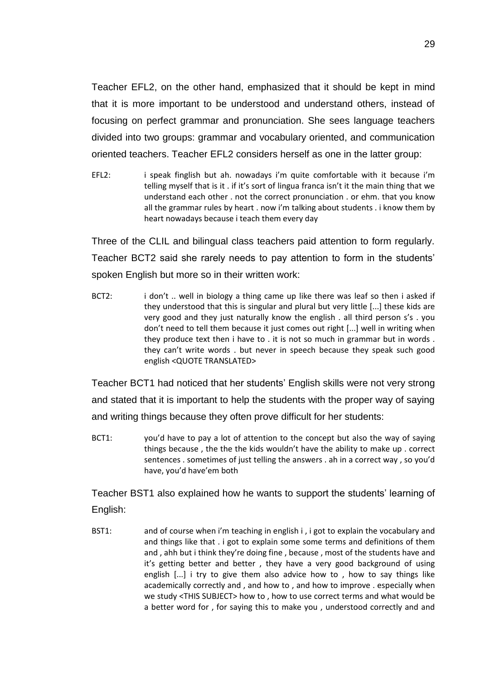Teacher EFL2, on the other hand, emphasized that it should be kept in mind that it is more important to be understood and understand others, instead of focusing on perfect grammar and pronunciation. She sees language teachers divided into two groups: grammar and vocabulary oriented, and communication oriented teachers. Teacher EFL2 considers herself as one in the latter group:

EFL2: i speak finglish but ah. nowadays i'm quite comfortable with it because i'm telling myself that is it . if it's sort of lingua franca isn't it the main thing that we understand each other . not the correct pronunciation . or ehm. that you know all the grammar rules by heart . now i'm talking about students . i know them by heart nowadays because i teach them every day

Three of the CLIL and bilingual class teachers paid attention to form regularly. Teacher BCT2 said she rarely needs to pay attention to form in the students' spoken English but more so in their written work:

BCT2: i don't .. well in biology a thing came up like there was leaf so then i asked if they understood that this is singular and plural but very little [...] these kids are very good and they just naturally know the english . all third person s's . you don't need to tell them because it just comes out right [...] well in writing when they produce text then i have to . it is not so much in grammar but in words . they can't write words . but never in speech because they speak such good english <QUOTE TRANSLATED>

Teacher BCT1 had noticed that her students' English skills were not very strong and stated that it is important to help the students with the proper way of saying and writing things because they often prove difficult for her students:

BCT1: you'd have to pay a lot of attention to the concept but also the way of saying things because , the the the kids wouldn't have the ability to make up . correct sentences . sometimes of just telling the answers . ah in a correct way , so you'd have, you'd have'em both

Teacher BST1 also explained how he wants to support the students' learning of English:

BST1: and of course when i'm teaching in english i, i got to explain the vocabulary and and things like that . i got to explain some some terms and definitions of them and , ahh but i think they're doing fine , because , most of the students have and it's getting better and better , they have a very good background of using english [...] i try to give them also advice how to, how to say things like academically correctly and , and how to , and how to improve . especially when we study <THIS SUBJECT> how to , how to use correct terms and what would be a better word for , for saying this to make you , understood correctly and and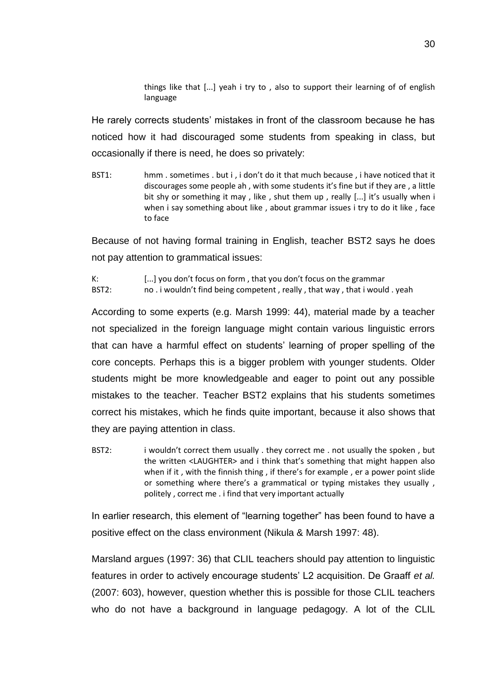things like that [...] yeah i try to , also to support their learning of of english language

He rarely corrects students' mistakes in front of the classroom because he has noticed how it had discouraged some students from speaking in class, but occasionally if there is need, he does so privately:

BST1: hmm . sometimes . but i , i don't do it that much because , i have noticed that it discourages some people ah , with some students it's fine but if they are , a little bit shy or something it may, like, shut them up, really [...] it's usually when i when i say something about like, about grammar issues i try to do it like, face to face

Because of not having formal training in English, teacher BST2 says he does not pay attention to grammatical issues:

K: [...] you don't focus on form , that you don't focus on the grammar BST2: no . i wouldn't find being competent, really, that way, that i would . yeah

According to some experts (e.g. Marsh 1999: 44), material made by a teacher not specialized in the foreign language might contain various linguistic errors that can have a harmful effect on students' learning of proper spelling of the core concepts. Perhaps this is a bigger problem with younger students. Older students might be more knowledgeable and eager to point out any possible mistakes to the teacher. Teacher BST2 explains that his students sometimes correct his mistakes, which he finds quite important, because it also shows that they are paying attention in class.

BST2: i wouldn't correct them usually . they correct me . not usually the spoken, but the written <LAUGHTER> and i think that's something that might happen also when if it , with the finnish thing , if there's for example , er a power point slide or something where there's a grammatical or typing mistakes they usually , politely , correct me . i find that very important actually

In earlier research, this element of "learning together" has been found to have a positive effect on the class environment (Nikula & Marsh 1997: 48).

Marsland argues (1997: 36) that CLIL teachers should pay attention to linguistic features in order to actively encourage students' L2 acquisition. De Graaff *et al.* (2007: 603), however, question whether this is possible for those CLIL teachers who do not have a background in language pedagogy. A lot of the CLIL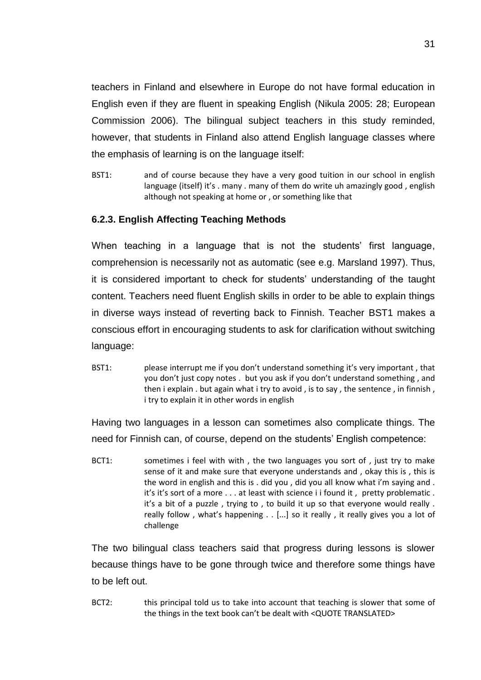teachers in Finland and elsewhere in Europe do not have formal education in English even if they are fluent in speaking English (Nikula 2005: 28; European Commission 2006). The bilingual subject teachers in this study reminded, however, that students in Finland also attend English language classes where the emphasis of learning is on the language itself:

BST1: and of course because they have a very good tuition in our school in english language (itself) it's . many . many of them do write uh amazingly good , english although not speaking at home or , or something like that

## <span id="page-32-0"></span>**6.2.3. English Affecting Teaching Methods**

When teaching in a language that is not the students' first language, comprehension is necessarily not as automatic (see e.g. Marsland 1997). Thus, it is considered important to check for students' understanding of the taught content. Teachers need fluent English skills in order to be able to explain things in diverse ways instead of reverting back to Finnish. Teacher BST1 makes a conscious effort in encouraging students to ask for clarification without switching language:

BST1: please interrupt me if you don't understand something it's very important, that you don't just copy notes . but you ask if you don't understand something , and then i explain . but again what i try to avoid , is to say , the sentence , in finnish , i try to explain it in other words in english

Having two languages in a lesson can sometimes also complicate things. The need for Finnish can, of course, depend on the students' English competence:

BCT1: sometimes i feel with with, the two languages you sort of, just try to make sense of it and make sure that everyone understands and , okay this is , this is the word in english and this is . did you , did you all know what i'm saying and . it's it's sort of a more . . . at least with science i i found it , pretty problematic . it's a bit of a puzzle , trying to , to build it up so that everyone would really . really follow , what's happening . . [...] so it really , it really gives you a lot of challenge

The two bilingual class teachers said that progress during lessons is slower because things have to be gone through twice and therefore some things have to be left out.

BCT2: this principal told us to take into account that teaching is slower that some of the things in the text book can't be dealt with <QUOTE TRANSLATED>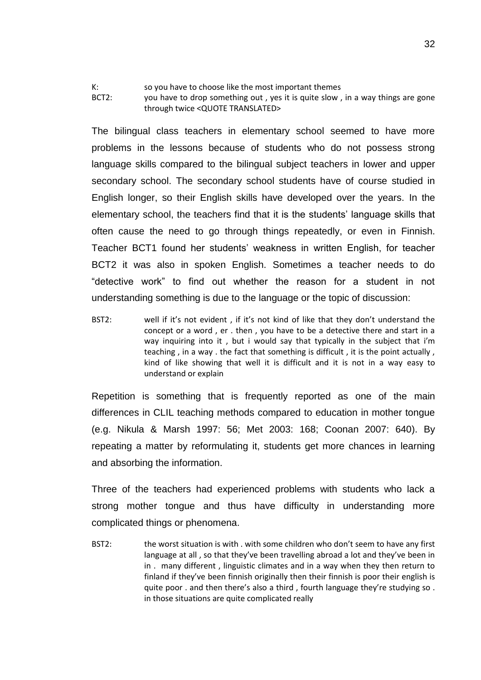K: so you have to choose like the most important themes

BCT2: you have to drop something out, yes it is quite slow, in a way things are gone through twice <QUOTE TRANSLATED>

The bilingual class teachers in elementary school seemed to have more problems in the lessons because of students who do not possess strong language skills compared to the bilingual subject teachers in lower and upper secondary school. The secondary school students have of course studied in English longer, so their English skills have developed over the years. In the elementary school, the teachers find that it is the students' language skills that often cause the need to go through things repeatedly, or even in Finnish. Teacher BCT1 found her students' weakness in written English, for teacher BCT2 it was also in spoken English. Sometimes a teacher needs to do "detective work" to find out whether the reason for a student in not understanding something is due to the language or the topic of discussion:

BST2: well if it's not evident , if it's not kind of like that they don't understand the concept or a word , er . then , you have to be a detective there and start in a way inquiring into it , but i would say that typically in the subject that i'm teaching , in a way . the fact that something is difficult , it is the point actually , kind of like showing that well it is difficult and it is not in a way easy to understand or explain

Repetition is something that is frequently reported as one of the main differences in CLIL teaching methods compared to education in mother tongue (e.g. Nikula & Marsh 1997: 56; Met 2003: 168; Coonan 2007: 640). By repeating a matter by reformulating it, students get more chances in learning and absorbing the information.

Three of the teachers had experienced problems with students who lack a strong mother tongue and thus have difficulty in understanding more complicated things or phenomena.

BST2: the worst situation is with . with some children who don't seem to have any first language at all , so that they've been travelling abroad a lot and they've been in in . many different , linguistic climates and in a way when they then return to finland if they've been finnish originally then their finnish is poor their english is quite poor . and then there's also a third, fourth language they're studying so. in those situations are quite complicated really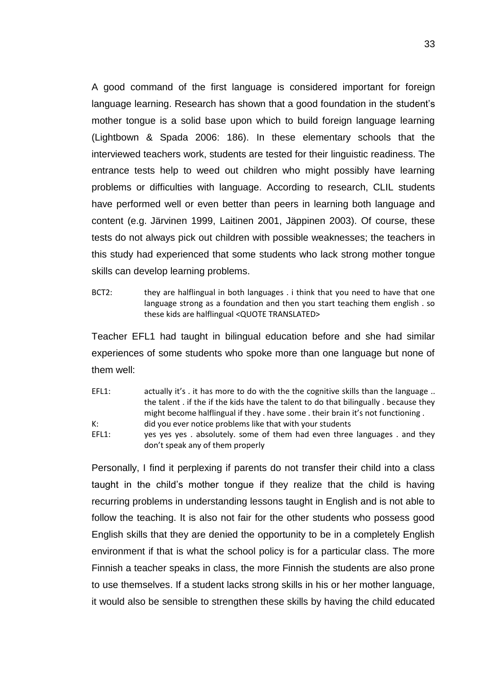A good command of the first language is considered important for foreign language learning. Research has shown that a good foundation in the student's mother tongue is a solid base upon which to build foreign language learning (Lightbown & Spada 2006: 186). In these elementary schools that the interviewed teachers work, students are tested for their linguistic readiness. The entrance tests help to weed out children who might possibly have learning problems or difficulties with language. According to research, CLIL students have performed well or even better than peers in learning both language and content (e.g. Järvinen 1999, Laitinen 2001, Jäppinen 2003). Of course, these tests do not always pick out children with possible weaknesses; the teachers in this study had experienced that some students who lack strong mother tongue skills can develop learning problems.

BCT2: they are halflingual in both languages . i think that you need to have that one language strong as a foundation and then you start teaching them english . so these kids are halflingual <QUOTE TRANSLATED>

Teacher EFL1 had taught in bilingual education before and she had similar experiences of some students who spoke more than one language but none of them well:

EFL1: actually it's . it has more to do with the the cognitive skills than the language .. the talent . if the if the kids have the talent to do that bilingually . because they might become halflingual if they . have some . their brain it's not functioning . K: did you ever notice problems like that with your students EFL1: yes yes yes . absolutely. some of them had even three languages . and they don't speak any of them properly

Personally, I find it perplexing if parents do not transfer their child into a class taught in the child's mother tongue if they realize that the child is having recurring problems in understanding lessons taught in English and is not able to follow the teaching. It is also not fair for the other students who possess good English skills that they are denied the opportunity to be in a completely English environment if that is what the school policy is for a particular class. The more Finnish a teacher speaks in class, the more Finnish the students are also prone to use themselves. If a student lacks strong skills in his or her mother language, it would also be sensible to strengthen these skills by having the child educated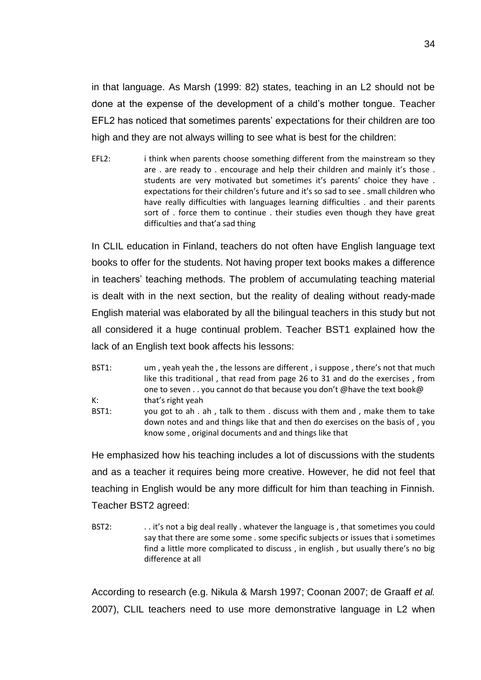in that language. As Marsh (1999: 82) states, teaching in an L2 should not be done at the expense of the development of a child's mother tongue. Teacher EFL2 has noticed that sometimes parents' expectations for their children are too high and they are not always willing to see what is best for the children:

EFL2: i think when parents choose something different from the mainstream so they are . are ready to . encourage and help their children and mainly it's those . students are very motivated but sometimes it's parents' choice they have . expectations for their children's future and it's so sad to see . small children who have really difficulties with languages learning difficulties . and their parents sort of . force them to continue . their studies even though they have great difficulties and that'a sad thing

In CLIL education in Finland, teachers do not often have English language text books to offer for the students. Not having proper text books makes a difference in teachers' teaching methods. The problem of accumulating teaching material is dealt with in the next section, but the reality of dealing without ready-made English material was elaborated by all the bilingual teachers in this study but not all considered it a huge continual problem. Teacher BST1 explained how the lack of an English text book affects his lessons:

- BST1: um, yeah yeah the, the lessons are different, i suppose, there's not that much like this traditional , that read from page 26 to 31 and do the exercises , from one to seven . . you cannot do that because you don't @have the text book@ K: that's right yeah
- BST1: you got to ah . ah , talk to them . discuss with them and , make them to take down notes and and things like that and then do exercises on the basis of , you know some , original documents and and things like that

He emphasized how his teaching includes a lot of discussions with the students and as a teacher it requires being more creative. However, he did not feel that teaching in English would be any more difficult for him than teaching in Finnish. Teacher BST2 agreed:

BST2: . . . it's not a big deal really . whatever the language is, that sometimes you could say that there are some some . some specific subjects or issues that i sometimes find a little more complicated to discuss , in english , but usually there's no big difference at all

According to research (e.g. Nikula & Marsh 1997; Coonan 2007; de Graaff *et al.*  2007), CLIL teachers need to use more demonstrative language in L2 when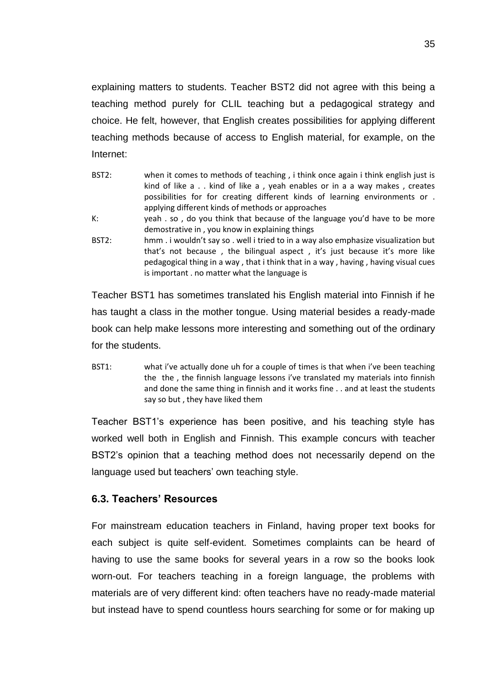explaining matters to students. Teacher BST2 did not agree with this being a teaching method purely for CLIL teaching but a pedagogical strategy and choice. He felt, however, that English creates possibilities for applying different teaching methods because of access to English material, for example, on the Internet:

| BST2: | when it comes to methods of teaching, i think once again i think english just is                                                                                 |
|-------|------------------------------------------------------------------------------------------------------------------------------------------------------------------|
|       | kind of like a kind of like a, yeah enables or in a a way makes, creates                                                                                         |
|       | possibilities for for creating different kinds of learning environments or .                                                                                     |
|       | applying different kinds of methods or approaches                                                                                                                |
| К:    | yeah . so, do you think that because of the language you'd have to be more                                                                                       |
|       | demostrative in, you know in explaining things                                                                                                                   |
| BST2: | hmm. I wouldn't say so . well i tried to in a way also emphasize visualization but                                                                               |
|       | that's not because, the bilingual aspect, it's just because it's more like<br>pedagogical thing in a way, that i think that in a way, having, having visual cues |
|       | is important . no matter what the language is                                                                                                                    |

Teacher BST1 has sometimes translated his English material into Finnish if he has taught a class in the mother tongue. Using material besides a ready-made book can help make lessons more interesting and something out of the ordinary for the students.

BST1: what i've actually done uh for a couple of times is that when i've been teaching the the , the finnish language lessons i've translated my materials into finnish and done the same thing in finnish and it works fine . . and at least the students say so but , they have liked them

Teacher BST1's experience has been positive, and his teaching style has worked well both in English and Finnish. This example concurs with teacher BST2's opinion that a teaching method does not necessarily depend on the language used but teachers' own teaching style.

## <span id="page-36-0"></span>**6.3. Teachers' Resources**

For mainstream education teachers in Finland, having proper text books for each subject is quite self-evident. Sometimes complaints can be heard of having to use the same books for several years in a row so the books look worn-out. For teachers teaching in a foreign language, the problems with materials are of very different kind: often teachers have no ready-made material but instead have to spend countless hours searching for some or for making up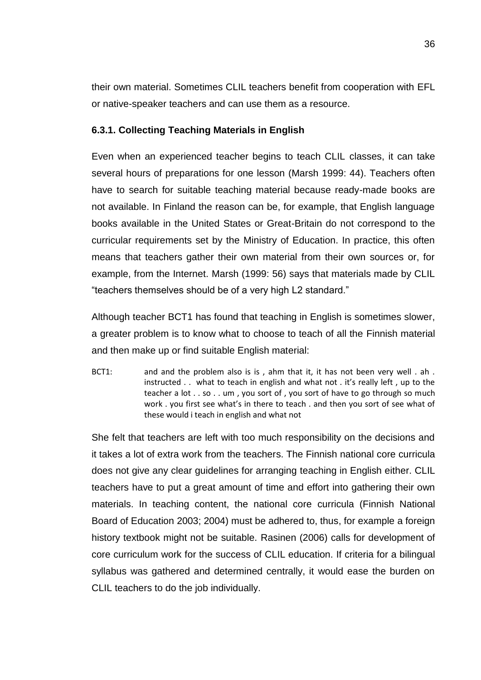their own material. Sometimes CLIL teachers benefit from cooperation with EFL or native-speaker teachers and can use them as a resource.

## <span id="page-37-0"></span>**6.3.1. Collecting Teaching Materials in English**

Even when an experienced teacher begins to teach CLIL classes, it can take several hours of preparations for one lesson (Marsh 1999: 44). Teachers often have to search for suitable teaching material because ready-made books are not available. In Finland the reason can be, for example, that English language books available in the United States or Great-Britain do not correspond to the curricular requirements set by the Ministry of Education. In practice, this often means that teachers gather their own material from their own sources or, for example, from the Internet. Marsh (1999: 56) says that materials made by CLIL "teachers themselves should be of a very high L2 standard."

Although teacher BCT1 has found that teaching in English is sometimes slower, a greater problem is to know what to choose to teach of all the Finnish material and then make up or find suitable English material:

BCT1: and and the problem also is is, ahm that it, it has not been very well, ah. instructed . . what to teach in english and what not . it's really left , up to the teacher a lot . . so . . um , you sort of , you sort of have to go through so much work . you first see what's in there to teach . and then you sort of see what of these would i teach in english and what not

She felt that teachers are left with too much responsibility on the decisions and it takes a lot of extra work from the teachers. The Finnish national core curricula does not give any clear guidelines for arranging teaching in English either. CLIL teachers have to put a great amount of time and effort into gathering their own materials. In teaching content, the national core curricula (Finnish National Board of Education 2003; 2004) must be adhered to, thus, for example a foreign history textbook might not be suitable. Rasinen (2006) calls for development of core curriculum work for the success of CLIL education. If criteria for a bilingual syllabus was gathered and determined centrally, it would ease the burden on CLIL teachers to do the job individually.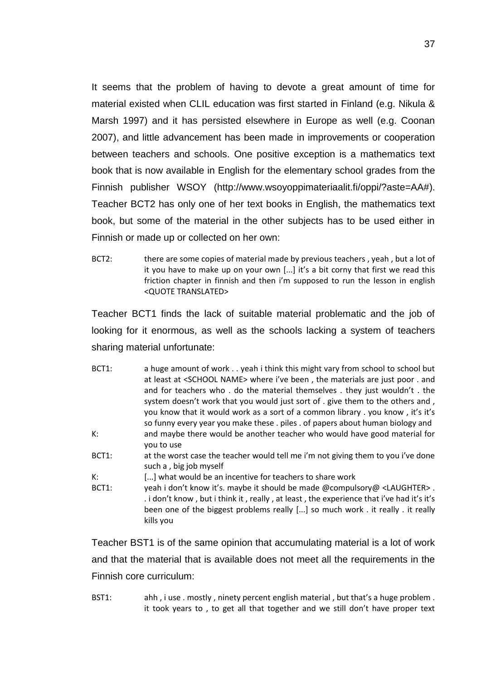It seems that the problem of having to devote a great amount of time for material existed when CLIL education was first started in Finland (e.g. Nikula & Marsh 1997) and it has persisted elsewhere in Europe as well (e.g. Coonan 2007), and little advancement has been made in improvements or cooperation between teachers and schools. One positive exception is a mathematics text book that is now available in English for the elementary school grades from the Finnish publisher WSOY (http://www.wsoyoppimateriaalit.fi/oppi/?aste=AA#). Teacher BCT2 has only one of her text books in English, the mathematics text book, but some of the material in the other subjects has to be used either in Finnish or made up or collected on her own:

BCT2: there are some copies of material made by previous teachers, yeah, but a lot of it you have to make up on your own  $[...]$  it's a bit corny that first we read this friction chapter in finnish and then i'm supposed to run the lesson in english <QUOTE TRANSLATED>

Teacher BCT1 finds the lack of suitable material problematic and the job of looking for it enormous, as well as the schools lacking a system of teachers sharing material unfortunate:

- BCT1: a huge amount of work . . yeah i think this might vary from school to school but at least at <SCHOOL NAME> where i've been , the materials are just poor . and and for teachers who . do the material themselves . they just wouldn't . the system doesn't work that you would just sort of . give them to the others and, you know that it would work as a sort of a common library . you know , it's it's so funny every year you make these . piles . of papers about human biology and K: and maybe there would be another teacher who would have good material for you to use
- BCT1: at the worst case the teacher would tell me i'm not giving them to you i've done such a , big job myself
- K: [...] what would be an incentive for teachers to share work
- BCT1: yeah i don't know it's. maybe it should be made @compulsory@ <LAUGHTER> . . i don't know , but i think it , really , at least , the experience that i've had it's it's been one of the biggest problems really [...] so much work . it really . it really kills you

Teacher BST1 is of the same opinion that accumulating material is a lot of work and that the material that is available does not meet all the requirements in the Finnish core curriculum:

BST1: ahh , i use . mostly , ninety percent english material , but that's a huge problem . it took years to , to get all that together and we still don't have proper text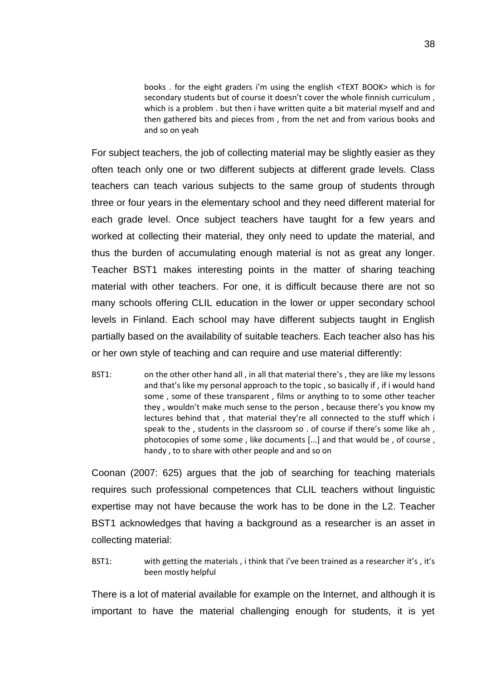books . for the eight graders i'm using the english <TEXT BOOK> which is for secondary students but of course it doesn't cover the whole finnish curriculum , which is a problem . but then i have written quite a bit material myself and and then gathered bits and pieces from , from the net and from various books and and so on yeah

For subject teachers, the job of collecting material may be slightly easier as they often teach only one or two different subjects at different grade levels. Class teachers can teach various subjects to the same group of students through three or four years in the elementary school and they need different material for each grade level. Once subject teachers have taught for a few years and worked at collecting their material, they only need to update the material, and thus the burden of accumulating enough material is not as great any longer. Teacher BST1 makes interesting points in the matter of sharing teaching material with other teachers. For one, it is difficult because there are not so many schools offering CLIL education in the lower or upper secondary school levels in Finland. Each school may have different subjects taught in English partially based on the availability of suitable teachers. Each teacher also has his or her own style of teaching and can require and use material differently:

BST1: on the other other hand all , in all that material there's , they are like my lessons and that's like my personal approach to the topic , so basically if , if i would hand some , some of these transparent , films or anything to to some other teacher they , wouldn't make much sense to the person , because there's you know my lectures behind that , that material they're all connected to the stuff which i speak to the , students in the classroom so . of course if there's some like ah , photocopies of some some , like documents [...] and that would be , of course , handy , to to share with other people and and so on

Coonan (2007: 625) argues that the job of searching for teaching materials requires such professional competences that CLIL teachers without linguistic expertise may not have because the work has to be done in the L2. Teacher BST1 acknowledges that having a background as a researcher is an asset in collecting material:

BST1: with getting the materials, i think that i've been trained as a researcher it's, it's been mostly helpful

There is a lot of material available for example on the Internet, and although it is important to have the material challenging enough for students, it is yet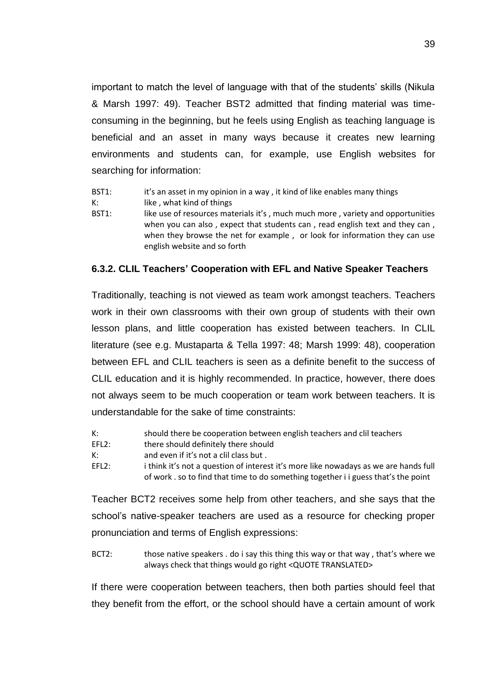important to match the level of language with that of the students' skills (Nikula & Marsh 1997: 49). Teacher BST2 admitted that finding material was timeconsuming in the beginning, but he feels using English as teaching language is beneficial and an asset in many ways because it creates new learning environments and students can, for example, use English websites for searching for information:

- BST1: it's an asset in my opinion in a way, it kind of like enables many things
- K: like, what kind of things
- BST1: like use of resources materials it's, much much more, variety and opportunities when you can also, expect that students can, read english text and they can, when they browse the net for example , or look for information they can use english website and so forth

## <span id="page-40-0"></span>**6.3.2. CLIL Teachers' Cooperation with EFL and Native Speaker Teachers**

Traditionally, teaching is not viewed as team work amongst teachers. Teachers work in their own classrooms with their own group of students with their own lesson plans, and little cooperation has existed between teachers. In CLIL literature (see e.g. Mustaparta & Tella 1997: 48; Marsh 1999: 48), cooperation between EFL and CLIL teachers is seen as a definite benefit to the success of CLIL education and it is highly recommended. In practice, however, there does not always seem to be much cooperation or team work between teachers. It is understandable for the sake of time constraints:

- K: should there be cooperation between english teachers and clil teachers
- EFL2: there should definitely there should
- K: and even if it's not a clil class but .
- EFL2: i think it's not a question of interest it's more like nowadays as we are hands full of work . so to find that time to do something together i i guess that's the point

Teacher BCT2 receives some help from other teachers, and she says that the school's native-speaker teachers are used as a resource for checking proper pronunciation and terms of English expressions:

BCT2: those native speakers . do i say this thing this way or that way, that's where we always check that things would go right <QUOTE TRANSLATED>

If there were cooperation between teachers, then both parties should feel that they benefit from the effort, or the school should have a certain amount of work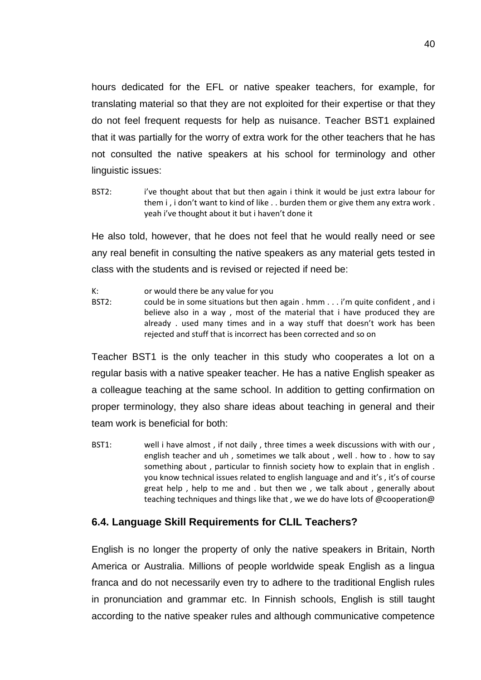hours dedicated for the EFL or native speaker teachers, for example, for translating material so that they are not exploited for their expertise or that they do not feel frequent requests for help as nuisance. Teacher BST1 explained that it was partially for the worry of extra work for the other teachers that he has not consulted the native speakers at his school for terminology and other linguistic issues:

BST2: ive thought about that but then again i think it would be just extra labour for them i, i don't want to kind of like . . burden them or give them any extra work. yeah i've thought about it but i haven't done it

He also told, however, that he does not feel that he would really need or see any real benefit in consulting the native speakers as any material gets tested in class with the students and is revised or rejected if need be:

- K: or would there be any value for you
- BST2: could be in some situations but then again . hmm . . . i'm quite confident, and i believe also in a way , most of the material that i have produced they are already . used many times and in a way stuff that doesn't work has been rejected and stuff that is incorrect has been corrected and so on

Teacher BST1 is the only teacher in this study who cooperates a lot on a regular basis with a native speaker teacher. He has a native English speaker as a colleague teaching at the same school. In addition to getting confirmation on proper terminology, they also share ideas about teaching in general and their team work is beneficial for both:

BST1: well i have almost , if not daily , three times a week discussions with with our , english teacher and uh , sometimes we talk about , well . how to . how to say something about , particular to finnish society how to explain that in english . you know technical issues related to english language and and it's , it's of course great help , help to me and . but then we , we talk about , generally about teaching techniques and things like that, we we do have lots of @cooperation@

## <span id="page-41-0"></span>**6.4. Language Skill Requirements for CLIL Teachers?**

English is no longer the property of only the native speakers in Britain, North America or Australia. Millions of people worldwide speak English as a lingua franca and do not necessarily even try to adhere to the traditional English rules in pronunciation and grammar etc. In Finnish schools, English is still taught according to the native speaker rules and although communicative competence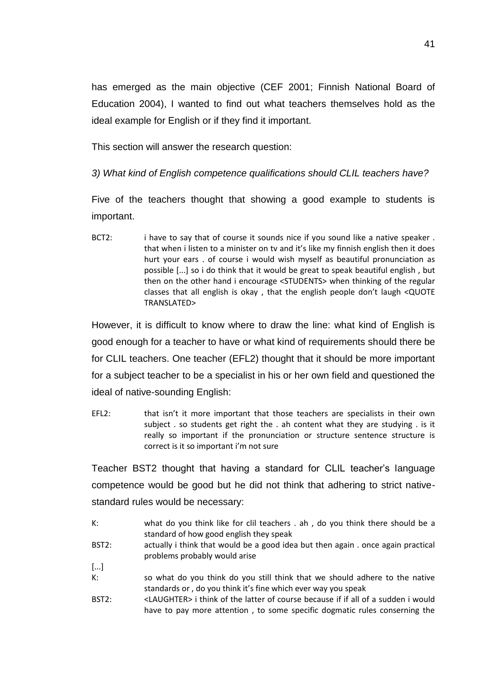has emerged as the main objective (CEF 2001; Finnish National Board of Education 2004), I wanted to find out what teachers themselves hold as the ideal example for English or if they find it important.

This section will answer the research question:

*3) What kind of English competence qualifications should CLIL teachers have?* 

Five of the teachers thought that showing a good example to students is important.

BCT2: i have to say that of course it sounds nice if you sound like a native speaker. that when i listen to a minister on tv and it's like my finnish english then it does hurt your ears . of course i would wish myself as beautiful pronunciation as possible [...] so i do think that it would be great to speak beautiful english , but then on the other hand i encourage <STUDENTS> when thinking of the regular classes that all english is okay , that the english people don't laugh <QUOTE TRANSLATED>

However, it is difficult to know where to draw the line: what kind of English is good enough for a teacher to have or what kind of requirements should there be for CLIL teachers. One teacher (EFL2) thought that it should be more important for a subject teacher to be a specialist in his or her own field and questioned the ideal of native-sounding English:

EFL2: that isn't it more important that those teachers are specialists in their own subject . so students get right the . ah content what they are studying . is it really so important if the pronunciation or structure sentence structure is correct is it so important i'm not sure

Teacher BST2 thought that having a standard for CLIL teacher's language competence would be good but he did not think that adhering to strict nativestandard rules would be necessary:

- K: what do you think like for clil teachers . ah , do you think there should be a standard of how good english they speak
- BST2: actually i think that would be a good idea but then again . once again practical problems probably would arise
- [...]
- K: so what do you think do you still think that we should adhere to the native standards or , do you think it's fine which ever way you speak
- BST2: <LAUGHTER> i think of the latter of course because if if all of a sudden i would have to pay more attention , to some specific dogmatic rules conserning the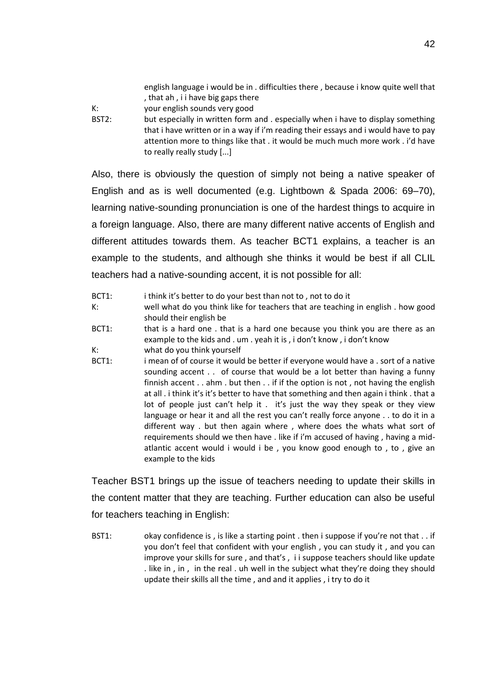english language i would be in . difficulties there , because i know quite well that , that ah , i i have big gaps there

K: your english sounds very good

BST2: but especially in written form and . especially when i have to display something that i have written or in a way if i'm reading their essays and i would have to pay attention more to things like that . it would be much much more work . i'd have to really really study [...]

Also, there is obviously the question of simply not being a native speaker of English and as is well documented (e.g. Lightbown & Spada 2006: 69–70), learning native-sounding pronunciation is one of the hardest things to acquire in a foreign language. Also, there are many different native accents of English and different attitudes towards them. As teacher BCT1 explains, a teacher is an example to the students, and although she thinks it would be best if all CLIL teachers had a native-sounding accent, it is not possible for all:

- BCT1: i think it's better to do your best than not to, not to do it
- K: well what do you think like for teachers that are teaching in english . how good should their english be
- BCT1: that is a hard one . that is a hard one because you think you are there as an example to the kids and . um . yeah it is , i don't know , i don't know
- K: what do you think yourself
- BCT1: i mean of of course it would be better if everyone would have a . sort of a native sounding accent . . of course that would be a lot better than having a funny finnish accent  $\ldots$  ahm  $\ldots$  but then  $\ldots$  if if the option is not , not having the english at all . i think it's it's better to have that something and then again i think . that a lot of people just can't help it . it's just the way they speak or they view language or hear it and all the rest you can't really force anyone . . to do it in a different way . but then again where , where does the whats what sort of requirements should we then have . like if i'm accused of having , having a midatlantic accent would i would i be , you know good enough to , to , give an example to the kids

Teacher BST1 brings up the issue of teachers needing to update their skills in the content matter that they are teaching. Further education can also be useful for teachers teaching in English:

BST1: okay confidence is, is like a starting point . then i suppose if you're not that . . if you don't feel that confident with your english , you can study it , and you can improve your skills for sure , and that's , i i suppose teachers should like update . like in, in, in the real, uh well in the subject what they're doing they should update their skills all the time , and and it applies , i try to do it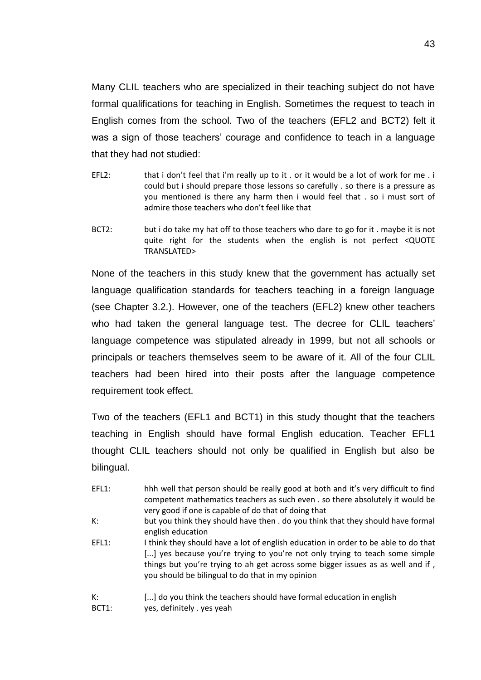Many CLIL teachers who are specialized in their teaching subject do not have formal qualifications for teaching in English. Sometimes the request to teach in English comes from the school. Two of the teachers (EFL2 and BCT2) felt it was a sign of those teachers' courage and confidence to teach in a language that they had not studied:

- EFL2: that i don't feel that i'm really up to it . or it would be a lot of work for me . i could but i should prepare those lessons so carefully . so there is a pressure as you mentioned is there any harm then i would feel that . so i must sort of admire those teachers who don't feel like that
- BCT2: but i do take my hat off to those teachers who dare to go for it . maybe it is not quite right for the students when the english is not perfect <QUOTE TRANSLATED>

None of the teachers in this study knew that the government has actually set language qualification standards for teachers teaching in a foreign language (see Chapter 3.2.). However, one of the teachers (EFL2) knew other teachers who had taken the general language test. The decree for CLIL teachers' language competence was stipulated already in 1999, but not all schools or principals or teachers themselves seem to be aware of it. All of the four CLIL teachers had been hired into their posts after the language competence requirement took effect.

Two of the teachers (EFL1 and BCT1) in this study thought that the teachers teaching in English should have formal English education. Teacher EFL1 thought CLIL teachers should not only be qualified in English but also be bilingual.

EFL1: hhh well that person should be really good at both and it's very difficult to find competent mathematics teachers as such even . so there absolutely it would be very good if one is capable of do that of doing that K: but you think they should have then . do you think that they should have formal english education EFL1: I think they should have a lot of english education in order to be able to do that [...] yes because you're trying to you're not only trying to teach some simple things but you're trying to ah get across some bigger issues as as well and if , you should be bilingual to do that in my opinion K: [...] do you think the teachers should have formal education in english BCT1: yes, definitely . yes yeah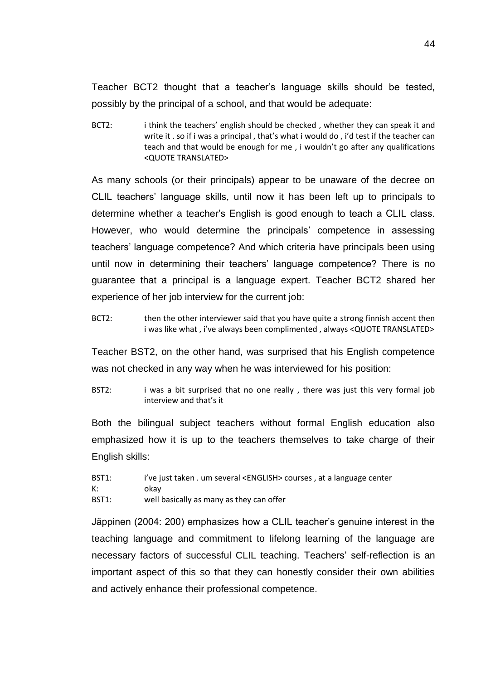Teacher BCT2 thought that a teacher's language skills should be tested, possibly by the principal of a school, and that would be adequate:

BCT2: i think the teachers' english should be checked, whether they can speak it and write it . so if i was a principal , that's what i would do , i'd test if the teacher can teach and that would be enough for me , i wouldn't go after any qualifications <QUOTE TRANSLATED>

As many schools (or their principals) appear to be unaware of the decree on CLIL teachers' language skills, until now it has been left up to principals to determine whether a teacher's English is good enough to teach a CLIL class. However, who would determine the principals' competence in assessing teachers' language competence? And which criteria have principals been using until now in determining their teachers' language competence? There is no guarantee that a principal is a language expert. Teacher BCT2 shared her experience of her job interview for the current job:

BCT2: then the other interviewer said that you have quite a strong finnish accent then i was like what , i've always been complimented , always <QUOTE TRANSLATED>

Teacher BST2, on the other hand, was surprised that his English competence was not checked in any way when he was interviewed for his position:

BST2: i was a bit surprised that no one really, there was just this very formal job interview and that's it

Both the bilingual subject teachers without formal English education also emphasized how it is up to the teachers themselves to take charge of their English skills:

- BST1: i've just taken . um several <ENGLISH> courses, at a language center
- K: okay

BST1: well basically as many as they can offer

Jäppinen (2004: 200) emphasizes how a CLIL teacher's genuine interest in the teaching language and commitment to lifelong learning of the language are necessary factors of successful CLIL teaching. Teachers' self-reflection is an important aspect of this so that they can honestly consider their own abilities and actively enhance their professional competence.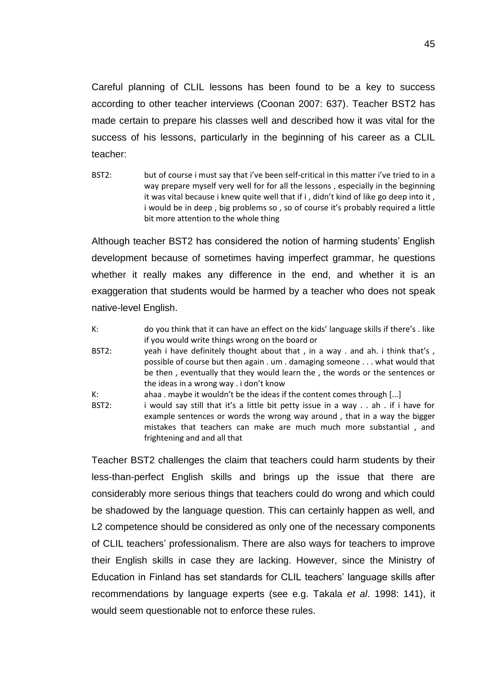Careful planning of CLIL lessons has been found to be a key to success according to other teacher interviews (Coonan 2007: 637). Teacher BST2 has made certain to prepare his classes well and described how it was vital for the success of his lessons, particularly in the beginning of his career as a CLIL teacher:

BST2: but of course i must say that i've been self-critical in this matter i've tried to in a way prepare myself very well for for all the lessons , especially in the beginning it was vital because i knew quite well that if i , didn't kind of like go deep into it , i would be in deep , big problems so , so of course it's probably required a little bit more attention to the whole thing

Although teacher BST2 has considered the notion of harming students' English development because of sometimes having imperfect grammar, he questions whether it really makes any difference in the end, and whether it is an exaggeration that students would be harmed by a teacher who does not speak native-level English.

- K: do you think that it can have an effect on the kids' language skills if there's . like if you would write things wrong on the board or BST2: yeah i have definitely thought about that, in a way . and ah. i think that's, possible of course but then again . um . damaging someone . . . what would that be then , eventually that they would learn the , the words or the sentences or the ideas in a wrong way . i don't know K: ahaa . maybe it wouldn't be the ideas if the content comes through  $[...]$
- BST2: i would say still that it's a little bit petty issue in a way . . ah . if i have for example sentences or words the wrong way around , that in a way the bigger mistakes that teachers can make are much much more substantial , and frightening and and all that

Teacher BST2 challenges the claim that teachers could harm students by their less-than-perfect English skills and brings up the issue that there are considerably more serious things that teachers could do wrong and which could be shadowed by the language question. This can certainly happen as well, and L2 competence should be considered as only one of the necessary components of CLIL teachers' professionalism. There are also ways for teachers to improve their English skills in case they are lacking. However, since the Ministry of Education in Finland has set standards for CLIL teachers' language skills after recommendations by language experts (see e.g. Takala *et al*. 1998: 141), it would seem questionable not to enforce these rules.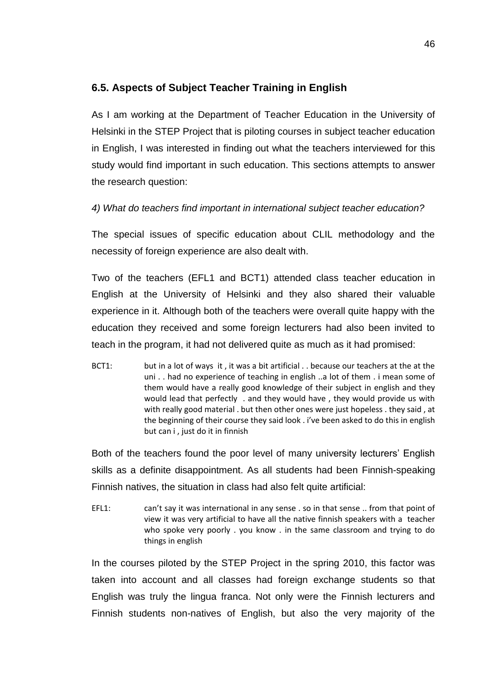## <span id="page-47-0"></span>**6.5. Aspects of Subject Teacher Training in English**

As I am working at the Department of Teacher Education in the University of Helsinki in the STEP Project that is piloting courses in subject teacher education in English, I was interested in finding out what the teachers interviewed for this study would find important in such education. This sections attempts to answer the research question:

*4) What do teachers find important in international subject teacher education?* 

The special issues of specific education about CLIL methodology and the necessity of foreign experience are also dealt with.

Two of the teachers (EFL1 and BCT1) attended class teacher education in English at the University of Helsinki and they also shared their valuable experience in it. Although both of the teachers were overall quite happy with the education they received and some foreign lecturers had also been invited to teach in the program, it had not delivered quite as much as it had promised:

BCT1: but in a lot of ways it, it was a bit artificial . . because our teachers at the at the uni . . had no experience of teaching in english ..a lot of them . i mean some of them would have a really good knowledge of their subject in english and they would lead that perfectly . and they would have , they would provide us with with really good material . but then other ones were just hopeless . they said , at the beginning of their course they said look . i've been asked to do this in english but can i , just do it in finnish

Both of the teachers found the poor level of many university lecturers' English skills as a definite disappointment. As all students had been Finnish-speaking Finnish natives, the situation in class had also felt quite artificial:

EFL1: can't say it was international in any sense . so in that sense .. from that point of view it was very artificial to have all the native finnish speakers with a teacher who spoke very poorly . you know . in the same classroom and trying to do things in english

In the courses piloted by the STEP Project in the spring 2010, this factor was taken into account and all classes had foreign exchange students so that English was truly the lingua franca. Not only were the Finnish lecturers and Finnish students non-natives of English, but also the very majority of the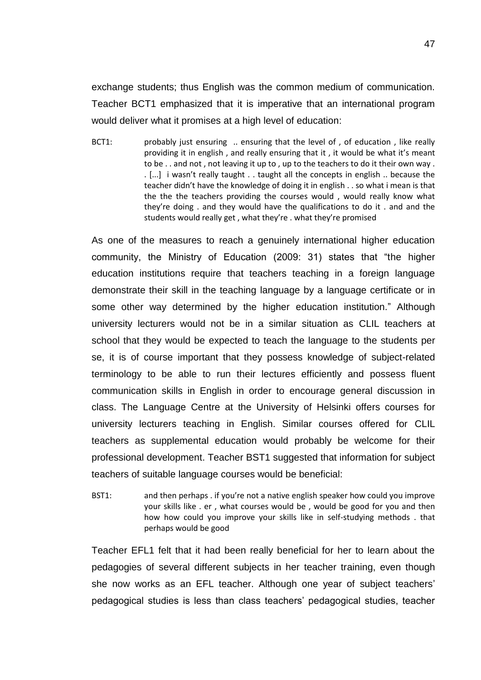exchange students; thus English was the common medium of communication. Teacher BCT1 emphasized that it is imperative that an international program would deliver what it promises at a high level of education:

BCT1: probably just ensuring .. ensuring that the level of , of education , like really providing it in english , and really ensuring that it , it would be what it's meant to be . . and not , not leaving it up to , up to the teachers to do it their own way . . [...] i wasn't really taught . . taught all the concepts in english .. because the teacher didn't have the knowledge of doing it in english . . so what i mean is that the the the teachers providing the courses would, would really know what they're doing . and they would have the qualifications to do it . and and the students would really get , what they're . what they're promised

As one of the measures to reach a genuinely international higher education community, the Ministry of Education (2009: 31) states that "the higher education institutions require that teachers teaching in a foreign language demonstrate their skill in the teaching language by a language certificate or in some other way determined by the higher education institution." Although university lecturers would not be in a similar situation as CLIL teachers at school that they would be expected to teach the language to the students per se, it is of course important that they possess knowledge of subject-related terminology to be able to run their lectures efficiently and possess fluent communication skills in English in order to encourage general discussion in class. The Language Centre at the University of Helsinki offers courses for university lecturers teaching in English. Similar courses offered for CLIL teachers as supplemental education would probably be welcome for their professional development. Teacher BST1 suggested that information for subject teachers of suitable language courses would be beneficial:

BST1: and then perhaps . if you're not a native english speaker how could you improve your skills like . er , what courses would be , would be good for you and then how how could you improve your skills like in self-studying methods . that perhaps would be good

Teacher EFL1 felt that it had been really beneficial for her to learn about the pedagogies of several different subjects in her teacher training, even though she now works as an EFL teacher. Although one year of subject teachers' pedagogical studies is less than class teachers' pedagogical studies, teacher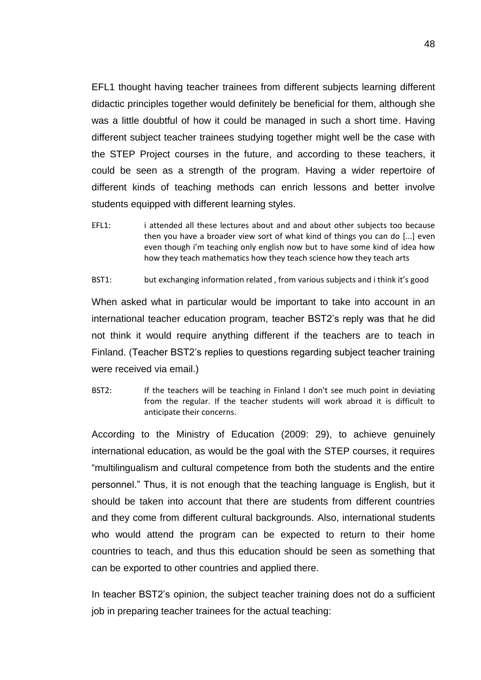EFL1 thought having teacher trainees from different subjects learning different didactic principles together would definitely be beneficial for them, although she was a little doubtful of how it could be managed in such a short time. Having different subject teacher trainees studying together might well be the case with the STEP Project courses in the future, and according to these teachers, it could be seen as a strength of the program. Having a wider repertoire of different kinds of teaching methods can enrich lessons and better involve students equipped with different learning styles.

EFL1: i attended all these lectures about and and about other subjects too because then you have a broader view sort of what kind of things you can do [...] even even though i'm teaching only english now but to have some kind of idea how how they teach mathematics how they teach science how they teach arts

BST1: but exchanging information related, from various subjects and i think it's good

When asked what in particular would be important to take into account in an international teacher education program, teacher BST2's reply was that he did not think it would require anything different if the teachers are to teach in Finland. (Teacher BST2's replies to questions regarding subject teacher training were received via email.)

BST2: If the teachers will be teaching in Finland I don't see much point in deviating from the regular. If the teacher students will work abroad it is difficult to anticipate their concerns.

According to the Ministry of Education (2009: 29), to achieve genuinely international education, as would be the goal with the STEP courses, it requires "multilingualism and cultural competence from both the students and the entire personnel." Thus, it is not enough that the teaching language is English, but it should be taken into account that there are students from different countries and they come from different cultural backgrounds. Also, international students who would attend the program can be expected to return to their home countries to teach, and thus this education should be seen as something that can be exported to other countries and applied there.

In teacher BST2's opinion, the subject teacher training does not do a sufficient job in preparing teacher trainees for the actual teaching: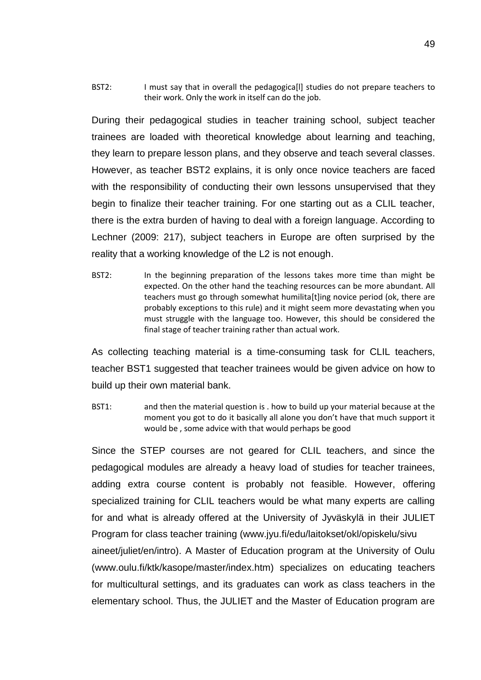BST2: I must say that in overall the pedagogica<sup>[1]</sup> studies do not prepare teachers to their work. Only the work in itself can do the job.

During their pedagogical studies in teacher training school, subject teacher trainees are loaded with theoretical knowledge about learning and teaching, they learn to prepare lesson plans, and they observe and teach several classes. However, as teacher BST2 explains, it is only once novice teachers are faced with the responsibility of conducting their own lessons unsupervised that they begin to finalize their teacher training. For one starting out as a CLIL teacher, there is the extra burden of having to deal with a foreign language. According to Lechner (2009: 217), subject teachers in Europe are often surprised by the reality that a working knowledge of the L2 is not enough.

BST2: In the beginning preparation of the lessons takes more time than might be expected. On the other hand the teaching resources can be more abundant. All teachers must go through somewhat humilita[t]ing novice period (ok, there are probably exceptions to this rule) and it might seem more devastating when you must struggle with the language too. However, this should be considered the final stage of teacher training rather than actual work.

As collecting teaching material is a time-consuming task for CLIL teachers, teacher BST1 suggested that teacher trainees would be given advice on how to build up their own material bank.

BST1: and then the material question is . how to build up your material because at the moment you got to do it basically all alone you don't have that much support it would be , some advice with that would perhaps be good

Since the STEP courses are not geared for CLIL teachers, and since the pedagogical modules are already a heavy load of studies for teacher trainees, adding extra course content is probably not feasible. However, offering specialized training for CLIL teachers would be what many experts are calling for and what is already offered at the University of Jyväskylä in their JULIET Program for class teacher training (www.jyu.fi/edu/laitokset/okl/opiskelu/sivu aineet/juliet/en/intro). A Master of Education program at the University of Oulu (www.oulu.fi/ktk/kasope/master/index.htm) specializes on educating teachers for multicultural settings, and its graduates can work as class teachers in the elementary school. Thus, the JULIET and the Master of Education program are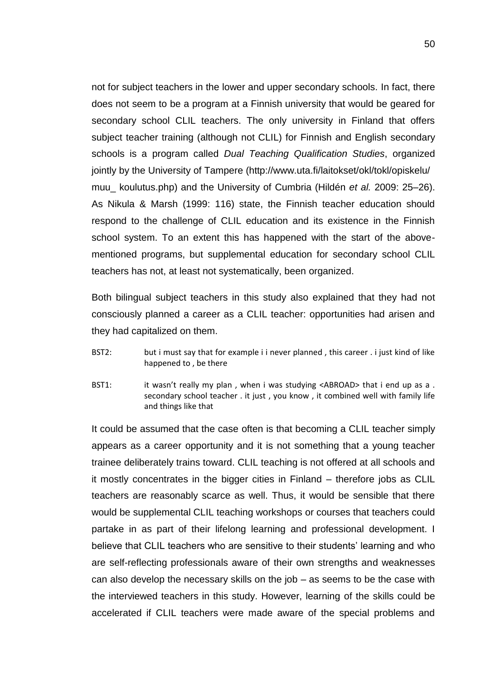not for subject teachers in the lower and upper secondary schools. In fact, there does not seem to be a program at a Finnish university that would be geared for secondary school CLIL teachers. The only university in Finland that offers subject teacher training (although not CLIL) for Finnish and English secondary schools is a program called *Dual Teaching Qualification Studies*, organized jointly by the University of Tampere (http://www.uta.fi/laitokset/okl/tokl/opiskelu/ muu\_ koulutus.php) and the University of Cumbria (Hildén *et al.* 2009: 25–26). As Nikula & Marsh (1999: 116) state, the Finnish teacher education should respond to the challenge of CLIL education and its existence in the Finnish school system. To an extent this has happened with the start of the abovementioned programs, but supplemental education for secondary school CLIL teachers has not, at least not systematically, been organized.

Both bilingual subject teachers in this study also explained that they had not consciously planned a career as a CLIL teacher: opportunities had arisen and they had capitalized on them.

- BST2: but i must say that for example i i never planned, this career . i just kind of like happened to , be there
- BST1: it wasn't really my plan, when i was studying <ABROAD> that i end up as a. secondary school teacher . it just , you know , it combined well with family life and things like that

It could be assumed that the case often is that becoming a CLIL teacher simply appears as a career opportunity and it is not something that a young teacher trainee deliberately trains toward. CLIL teaching is not offered at all schools and it mostly concentrates in the bigger cities in Finland – therefore jobs as CLIL teachers are reasonably scarce as well. Thus, it would be sensible that there would be supplemental CLIL teaching workshops or courses that teachers could partake in as part of their lifelong learning and professional development. I believe that CLIL teachers who are sensitive to their students' learning and who are self-reflecting professionals aware of their own strengths and weaknesses can also develop the necessary skills on the job – as seems to be the case with the interviewed teachers in this study. However, learning of the skills could be accelerated if CLIL teachers were made aware of the special problems and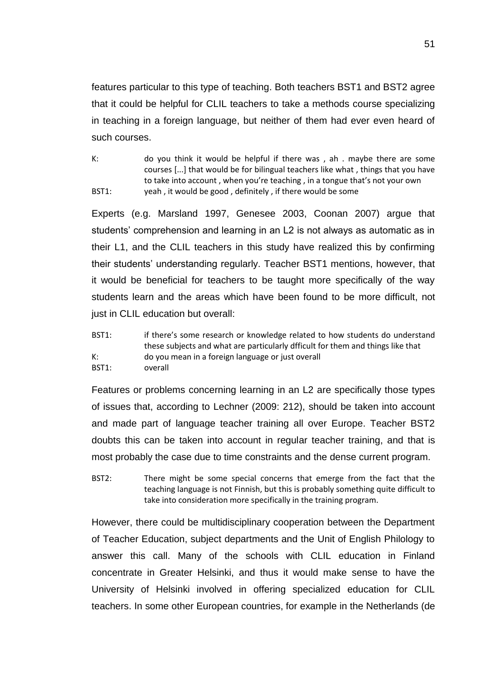features particular to this type of teaching. Both teachers BST1 and BST2 agree that it could be helpful for CLIL teachers to take a methods course specializing in teaching in a foreign language, but neither of them had ever even heard of such courses.

K: do you think it would be helpful if there was , ah . maybe there are some courses [...] that would be for bilingual teachers like what , things that you have to take into account , when you're teaching , in a tongue that's not your own BST1: veah , it would be good , definitely , if there would be some

Experts (e.g. Marsland 1997, Genesee 2003, Coonan 2007) argue that students' comprehension and learning in an L2 is not always as automatic as in their L1, and the CLIL teachers in this study have realized this by confirming their students' understanding regularly. Teacher BST1 mentions, however, that it would be beneficial for teachers to be taught more specifically of the way students learn and the areas which have been found to be more difficult, not just in CLIL education but overall:

BST1: if there's some research or knowledge related to how students do understand these subjects and what are particularly dfficult for them and things like that K: do you mean in a foreign language or just overall BST1: overall

Features or problems concerning learning in an L2 are specifically those types of issues that, according to Lechner (2009: 212), should be taken into account and made part of language teacher training all over Europe. Teacher BST2 doubts this can be taken into account in regular teacher training, and that is most probably the case due to time constraints and the dense current program.

BST2: There might be some special concerns that emerge from the fact that the teaching language is not Finnish, but this is probably something quite difficult to take into consideration more specifically in the training program.

However, there could be multidisciplinary cooperation between the Department of Teacher Education, subject departments and the Unit of English Philology to answer this call. Many of the schools with CLIL education in Finland concentrate in Greater Helsinki, and thus it would make sense to have the University of Helsinki involved in offering specialized education for CLIL teachers. In some other European countries, for example in the Netherlands (de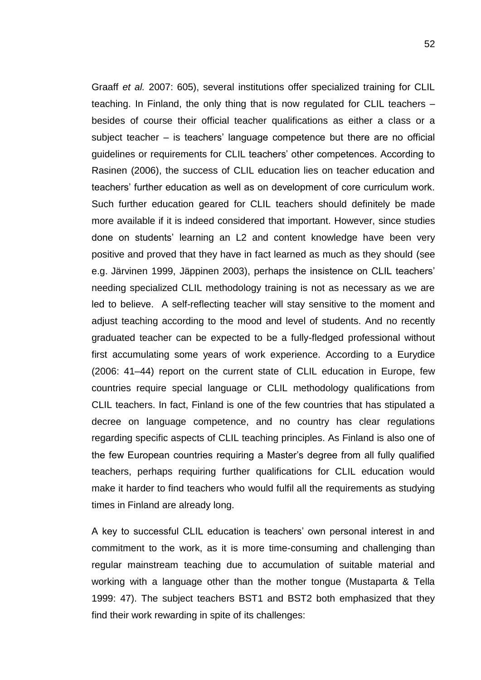Graaff *et al.* 2007: 605), several institutions offer specialized training for CLIL teaching. In Finland, the only thing that is now regulated for CLIL teachers – besides of course their official teacher qualifications as either a class or a subject teacher – is teachers' language competence but there are no official guidelines or requirements for CLIL teachers' other competences. According to Rasinen (2006), the success of CLIL education lies on teacher education and teachers' further education as well as on development of core curriculum work. Such further education geared for CLIL teachers should definitely be made more available if it is indeed considered that important. However, since studies done on students' learning an L2 and content knowledge have been very positive and proved that they have in fact learned as much as they should (see e.g. Järvinen 1999, Jäppinen 2003), perhaps the insistence on CLIL teachers' needing specialized CLIL methodology training is not as necessary as we are led to believe. A self-reflecting teacher will stay sensitive to the moment and adjust teaching according to the mood and level of students. And no recently graduated teacher can be expected to be a fully-fledged professional without first accumulating some years of work experience. According to a Eurydice (2006: 41–44) report on the current state of CLIL education in Europe, few countries require special language or CLIL methodology qualifications from CLIL teachers. In fact, Finland is one of the few countries that has stipulated a decree on language competence, and no country has clear regulations regarding specific aspects of CLIL teaching principles. As Finland is also one of the few European countries requiring a Master's degree from all fully qualified teachers, perhaps requiring further qualifications for CLIL education would make it harder to find teachers who would fulfil all the requirements as studying times in Finland are already long.

A key to successful CLIL education is teachers' own personal interest in and commitment to the work, as it is more time-consuming and challenging than regular mainstream teaching due to accumulation of suitable material and working with a language other than the mother tongue (Mustaparta & Tella 1999: 47). The subject teachers BST1 and BST2 both emphasized that they find their work rewarding in spite of its challenges: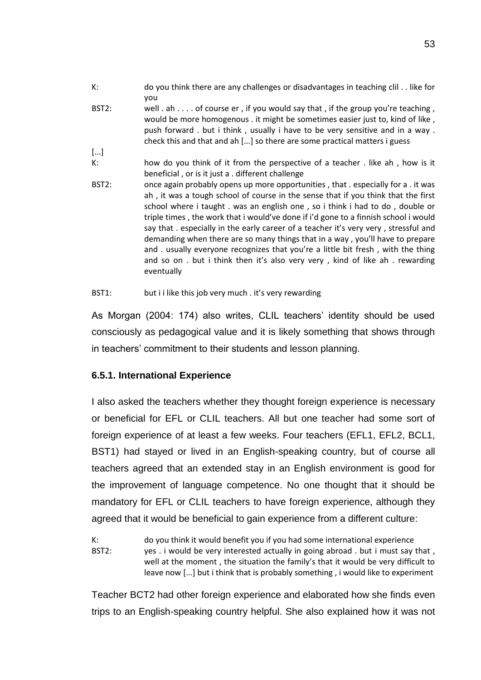- K: do you think there are any challenges or disadvantages in teaching clil . . like for you
- BST2: well . ah . . . . of course er , if you would say that , if the group you're teaching, would be more homogenous . it might be sometimes easier just to, kind of like , push forward . but i think , usually i have to be very sensitive and in a way . check this and that and ah [...] so there are some practical matters i guess
- [...] K: how do you think of it from the perspective of a teacher . like ah , how is it beneficial , or is it just a . different challenge
- BST2: once again probably opens up more opportunities, that . especially for a . it was ah , it was a tough school of course in the sense that if you think that the first school where i taught . was an english one , so i think i had to do , double or triple times , the work that i would've done if i'd gone to a finnish school i would say that . especially in the early career of a teacher it's very very , stressful and demanding when there are so many things that in a way , you'll have to prepare and . usually everyone recognizes that you're a little bit fresh , with the thing and so on . but i think then it's also very very , kind of like ah . rewarding eventually
- BST1: but i i like this job very much . it's very rewarding

As Morgan (2004: 174) also writes, CLIL teachers' identity should be used consciously as pedagogical value and it is likely something that shows through in teachers' commitment to their students and lesson planning.

## <span id="page-54-0"></span>**6.5.1. International Experience**

I also asked the teachers whether they thought foreign experience is necessary or beneficial for EFL or CLIL teachers. All but one teacher had some sort of foreign experience of at least a few weeks. Four teachers (EFL1, EFL2, BCL1, BST1) had stayed or lived in an English-speaking country, but of course all teachers agreed that an extended stay in an English environment is good for the improvement of language competence. No one thought that it should be mandatory for EFL or CLIL teachers to have foreign experience, although they agreed that it would be beneficial to gain experience from a different culture:

K: do you think it would benefit you if you had some international experience BST2: yes . i would be very interested actually in going abroad . but i must say that, well at the moment , the situation the family's that it would be very difficult to leave now [...] but i think that is probably something , i would like to experiment

Teacher BCT2 had other foreign experience and elaborated how she finds even trips to an English-speaking country helpful. She also explained how it was not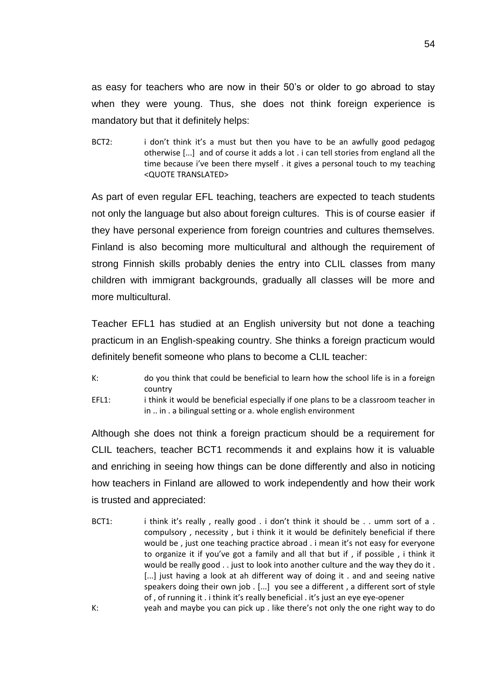as easy for teachers who are now in their 50's or older to go abroad to stay when they were young. Thus, she does not think foreign experience is mandatory but that it definitely helps:

BCT2: i don't think it's a must but then you have to be an awfully good pedagog otherwise [...] and of course it adds a lot . i can tell stories from england all the time because i've been there myself . it gives a personal touch to my teaching <QUOTE TRANSLATED>

As part of even regular EFL teaching, teachers are expected to teach students not only the language but also about foreign cultures. This is of course easier if they have personal experience from foreign countries and cultures themselves. Finland is also becoming more multicultural and although the requirement of strong Finnish skills probably denies the entry into CLIL classes from many children with immigrant backgrounds, gradually all classes will be more and more multicultural.

Teacher EFL1 has studied at an English university but not done a teaching practicum in an English-speaking country. She thinks a foreign practicum would definitely benefit someone who plans to become a CLIL teacher:

- K: do you think that could be beneficial to learn how the school life is in a foreign country
- EFL1: i think it would be beneficial especially if one plans to be a classroom teacher in in .. in . a bilingual setting or a. whole english environment

Although she does not think a foreign practicum should be a requirement for CLIL teachers, teacher BCT1 recommends it and explains how it is valuable and enriching in seeing how things can be done differently and also in noticing how teachers in Finland are allowed to work independently and how their work is trusted and appreciated:

BCT1: i think it's really, really good . i don't think it should be . . umm sort of a. compulsory , necessity , but i think it it would be definitely beneficial if there would be , just one teaching practice abroad . i mean it's not easy for everyone to organize it if you've got a family and all that but if , if possible , i think it would be really good . . just to look into another culture and the way they do it . [...] just having a look at ah different way of doing it . and and seeing native speakers doing their own job . [...] you see a different , a different sort of style of , of running it . i think it's really beneficial . it's just an eye eye-opener K: yeah and maybe you can pick up . like there's not only the one right way to do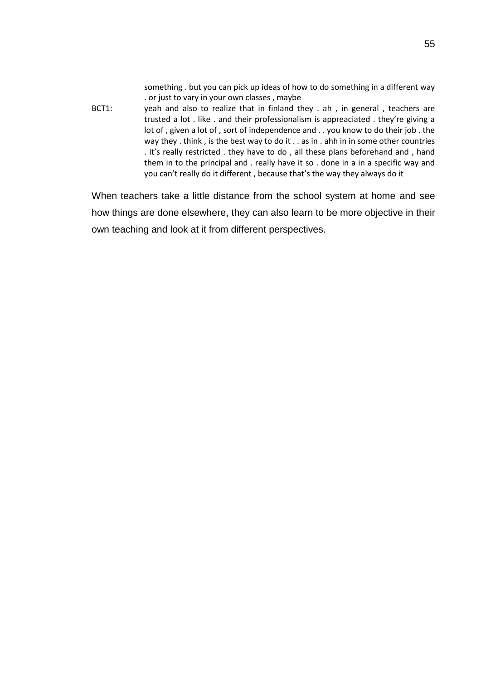something . but you can pick up ideas of how to do something in a different way . or just to vary in your own classes , maybe

BCT1: yeah and also to realize that in finland they . ah , in general , teachers are trusted a lot . like . and their professionalism is appreaciated . they're giving a lot of , given a lot of , sort of independence and . . you know to do their job . the way they . think, is the best way to do it . . as in . ahh in in some other countries . it's really restricted . they have to do , all these plans beforehand and , hand them in to the principal and . really have it so . done in a in a specific way and you can't really do it different , because that's the way they always do it

When teachers take a little distance from the school system at home and see how things are done elsewhere, they can also learn to be more objective in their own teaching and look at it from different perspectives.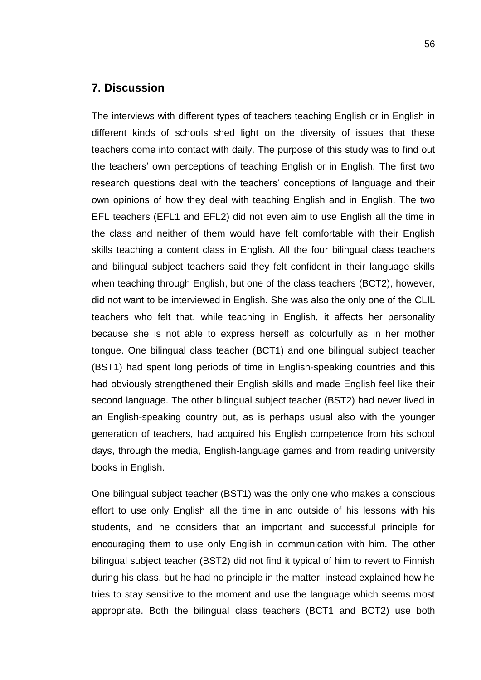## <span id="page-57-0"></span>**7. Discussion**

The interviews with different types of teachers teaching English or in English in different kinds of schools shed light on the diversity of issues that these teachers come into contact with daily. The purpose of this study was to find out the teachers' own perceptions of teaching English or in English. The first two research questions deal with the teachers' conceptions of language and their own opinions of how they deal with teaching English and in English. The two EFL teachers (EFL1 and EFL2) did not even aim to use English all the time in the class and neither of them would have felt comfortable with their English skills teaching a content class in English. All the four bilingual class teachers and bilingual subject teachers said they felt confident in their language skills when teaching through English, but one of the class teachers (BCT2), however, did not want to be interviewed in English. She was also the only one of the CLIL teachers who felt that, while teaching in English, it affects her personality because she is not able to express herself as colourfully as in her mother tongue. One bilingual class teacher (BCT1) and one bilingual subject teacher (BST1) had spent long periods of time in English-speaking countries and this had obviously strengthened their English skills and made English feel like their second language. The other bilingual subject teacher (BST2) had never lived in an English-speaking country but, as is perhaps usual also with the younger generation of teachers, had acquired his English competence from his school days, through the media, English-language games and from reading university books in English.

One bilingual subject teacher (BST1) was the only one who makes a conscious effort to use only English all the time in and outside of his lessons with his students, and he considers that an important and successful principle for encouraging them to use only English in communication with him. The other bilingual subject teacher (BST2) did not find it typical of him to revert to Finnish during his class, but he had no principle in the matter, instead explained how he tries to stay sensitive to the moment and use the language which seems most appropriate. Both the bilingual class teachers (BCT1 and BCT2) use both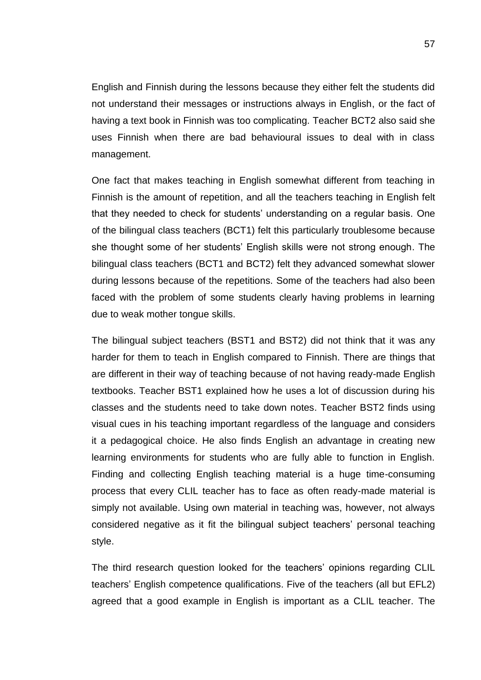English and Finnish during the lessons because they either felt the students did not understand their messages or instructions always in English, or the fact of having a text book in Finnish was too complicating. Teacher BCT2 also said she uses Finnish when there are bad behavioural issues to deal with in class management.

One fact that makes teaching in English somewhat different from teaching in Finnish is the amount of repetition, and all the teachers teaching in English felt that they needed to check for students' understanding on a regular basis. One of the bilingual class teachers (BCT1) felt this particularly troublesome because she thought some of her students' English skills were not strong enough. The bilingual class teachers (BCT1 and BCT2) felt they advanced somewhat slower during lessons because of the repetitions. Some of the teachers had also been faced with the problem of some students clearly having problems in learning due to weak mother tongue skills.

The bilingual subject teachers (BST1 and BST2) did not think that it was any harder for them to teach in English compared to Finnish. There are things that are different in their way of teaching because of not having ready-made English textbooks. Teacher BST1 explained how he uses a lot of discussion during his classes and the students need to take down notes. Teacher BST2 finds using visual cues in his teaching important regardless of the language and considers it a pedagogical choice. He also finds English an advantage in creating new learning environments for students who are fully able to function in English. Finding and collecting English teaching material is a huge time-consuming process that every CLIL teacher has to face as often ready-made material is simply not available. Using own material in teaching was, however, not always considered negative as it fit the bilingual subject teachers' personal teaching style.

The third research question looked for the teachers' opinions regarding CLIL teachers' English competence qualifications. Five of the teachers (all but EFL2) agreed that a good example in English is important as a CLIL teacher. The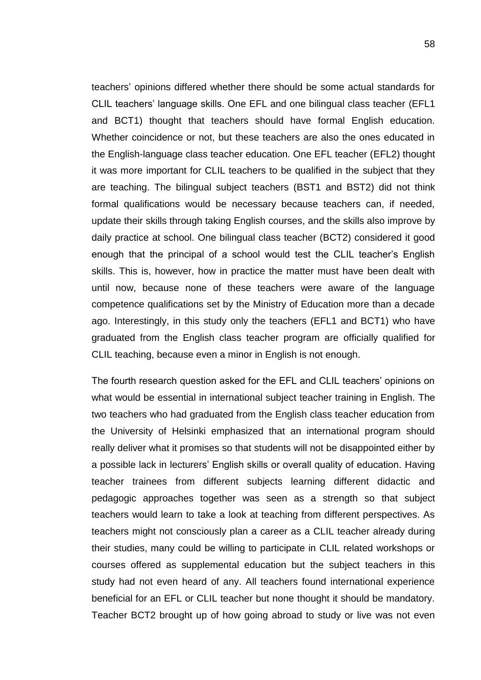teachers' opinions differed whether there should be some actual standards for CLIL teachers' language skills. One EFL and one bilingual class teacher (EFL1 and BCT1) thought that teachers should have formal English education. Whether coincidence or not, but these teachers are also the ones educated in the English-language class teacher education. One EFL teacher (EFL2) thought it was more important for CLIL teachers to be qualified in the subject that they are teaching. The bilingual subject teachers (BST1 and BST2) did not think formal qualifications would be necessary because teachers can, if needed, update their skills through taking English courses, and the skills also improve by daily practice at school. One bilingual class teacher (BCT2) considered it good enough that the principal of a school would test the CLIL teacher's English skills. This is, however, how in practice the matter must have been dealt with until now, because none of these teachers were aware of the language competence qualifications set by the Ministry of Education more than a decade ago. Interestingly, in this study only the teachers (EFL1 and BCT1) who have graduated from the English class teacher program are officially qualified for CLIL teaching, because even a minor in English is not enough.

The fourth research question asked for the EFL and CLIL teachers' opinions on what would be essential in international subject teacher training in English. The two teachers who had graduated from the English class teacher education from the University of Helsinki emphasized that an international program should really deliver what it promises so that students will not be disappointed either by a possible lack in lecturers' English skills or overall quality of education. Having teacher trainees from different subjects learning different didactic and pedagogic approaches together was seen as a strength so that subject teachers would learn to take a look at teaching from different perspectives. As teachers might not consciously plan a career as a CLIL teacher already during their studies, many could be willing to participate in CLIL related workshops or courses offered as supplemental education but the subject teachers in this study had not even heard of any. All teachers found international experience beneficial for an EFL or CLIL teacher but none thought it should be mandatory. Teacher BCT2 brought up of how going abroad to study or live was not even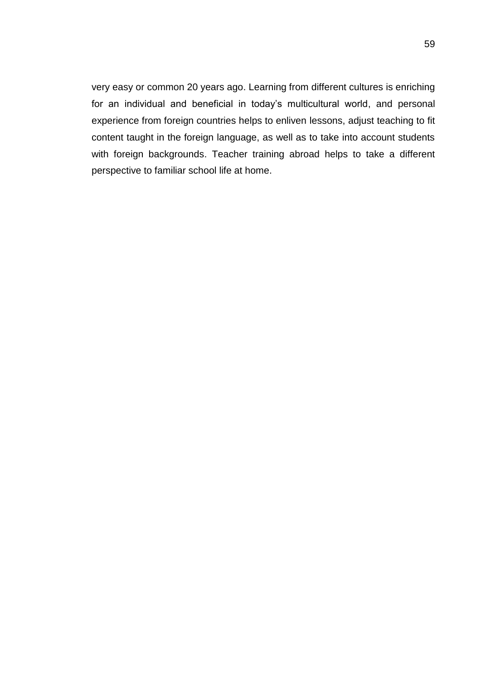very easy or common 20 years ago. Learning from different cultures is enriching for an individual and beneficial in today's multicultural world, and personal experience from foreign countries helps to enliven lessons, adjust teaching to fit content taught in the foreign language, as well as to take into account students with foreign backgrounds. Teacher training abroad helps to take a different perspective to familiar school life at home.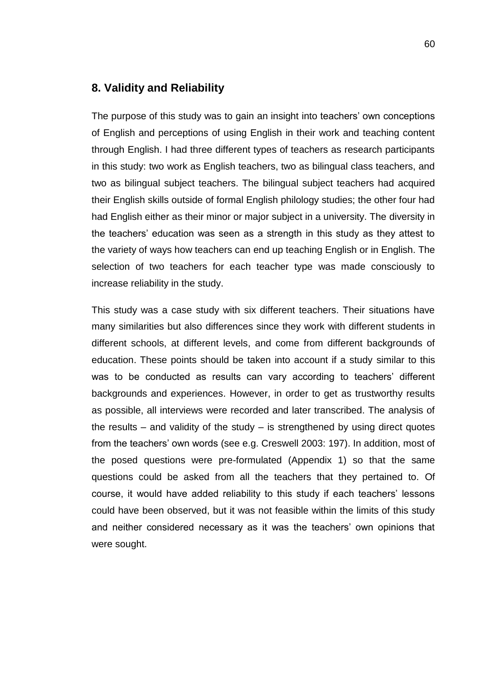## <span id="page-61-0"></span>**8. Validity and Reliability**

The purpose of this study was to gain an insight into teachers' own conceptions of English and perceptions of using English in their work and teaching content through English. I had three different types of teachers as research participants in this study: two work as English teachers, two as bilingual class teachers, and two as bilingual subject teachers. The bilingual subject teachers had acquired their English skills outside of formal English philology studies; the other four had had English either as their minor or major subject in a university. The diversity in the teachers' education was seen as a strength in this study as they attest to the variety of ways how teachers can end up teaching English or in English. The selection of two teachers for each teacher type was made consciously to increase reliability in the study.

This study was a case study with six different teachers. Their situations have many similarities but also differences since they work with different students in different schools, at different levels, and come from different backgrounds of education. These points should be taken into account if a study similar to this was to be conducted as results can vary according to teachers' different backgrounds and experiences. However, in order to get as trustworthy results as possible, all interviews were recorded and later transcribed. The analysis of the results – and validity of the study – is strengthened by using direct quotes from the teachers' own words (see e.g. Creswell 2003: 197). In addition, most of the posed questions were pre-formulated (Appendix 1) so that the same questions could be asked from all the teachers that they pertained to. Of course, it would have added reliability to this study if each teachers' lessons could have been observed, but it was not feasible within the limits of this study and neither considered necessary as it was the teachers' own opinions that were sought.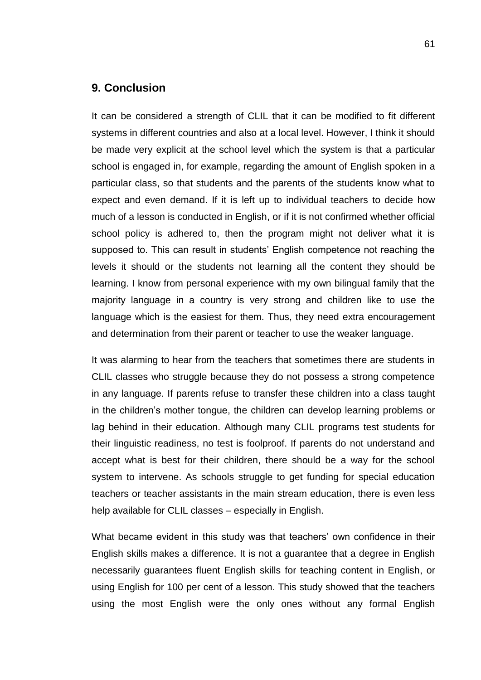## <span id="page-62-0"></span>**9. Conclusion**

It can be considered a strength of CLIL that it can be modified to fit different systems in different countries and also at a local level. However, I think it should be made very explicit at the school level which the system is that a particular school is engaged in, for example, regarding the amount of English spoken in a particular class, so that students and the parents of the students know what to expect and even demand. If it is left up to individual teachers to decide how much of a lesson is conducted in English, or if it is not confirmed whether official school policy is adhered to, then the program might not deliver what it is supposed to. This can result in students' English competence not reaching the levels it should or the students not learning all the content they should be learning. I know from personal experience with my own bilingual family that the majority language in a country is very strong and children like to use the language which is the easiest for them. Thus, they need extra encouragement and determination from their parent or teacher to use the weaker language.

It was alarming to hear from the teachers that sometimes there are students in CLIL classes who struggle because they do not possess a strong competence in any language. If parents refuse to transfer these children into a class taught in the children's mother tongue, the children can develop learning problems or lag behind in their education. Although many CLIL programs test students for their linguistic readiness, no test is foolproof. If parents do not understand and accept what is best for their children, there should be a way for the school system to intervene. As schools struggle to get funding for special education teachers or teacher assistants in the main stream education, there is even less help available for CLIL classes – especially in English.

What became evident in this study was that teachers' own confidence in their English skills makes a difference. It is not a guarantee that a degree in English necessarily guarantees fluent English skills for teaching content in English, or using English for 100 per cent of a lesson. This study showed that the teachers using the most English were the only ones without any formal English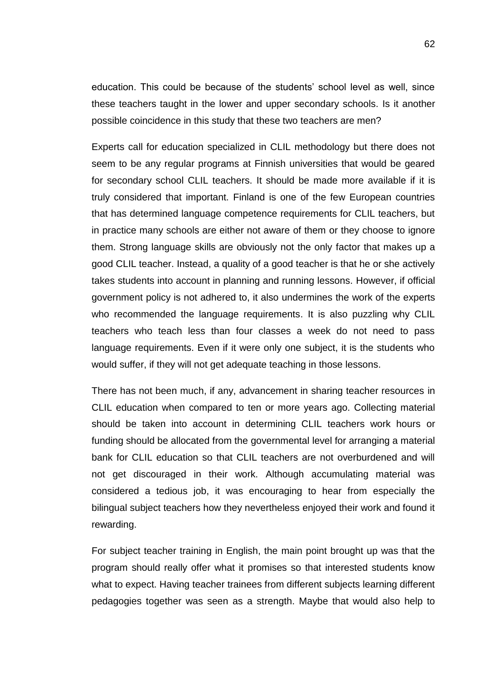education. This could be because of the students' school level as well, since these teachers taught in the lower and upper secondary schools. Is it another possible coincidence in this study that these two teachers are men?

Experts call for education specialized in CLIL methodology but there does not seem to be any regular programs at Finnish universities that would be geared for secondary school CLIL teachers. It should be made more available if it is truly considered that important. Finland is one of the few European countries that has determined language competence requirements for CLIL teachers, but in practice many schools are either not aware of them or they choose to ignore them. Strong language skills are obviously not the only factor that makes up a good CLIL teacher. Instead, a quality of a good teacher is that he or she actively takes students into account in planning and running lessons. However, if official government policy is not adhered to, it also undermines the work of the experts who recommended the language requirements. It is also puzzling why CLIL teachers who teach less than four classes a week do not need to pass language requirements. Even if it were only one subject, it is the students who would suffer, if they will not get adequate teaching in those lessons.

There has not been much, if any, advancement in sharing teacher resources in CLIL education when compared to ten or more years ago. Collecting material should be taken into account in determining CLIL teachers work hours or funding should be allocated from the governmental level for arranging a material bank for CLIL education so that CLIL teachers are not overburdened and will not get discouraged in their work. Although accumulating material was considered a tedious job, it was encouraging to hear from especially the bilingual subject teachers how they nevertheless enjoyed their work and found it rewarding.

For subject teacher training in English, the main point brought up was that the program should really offer what it promises so that interested students know what to expect. Having teacher trainees from different subjects learning different pedagogies together was seen as a strength. Maybe that would also help to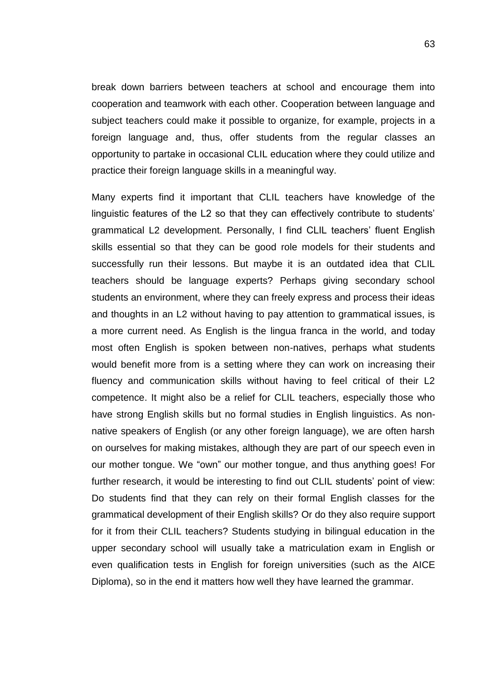break down barriers between teachers at school and encourage them into cooperation and teamwork with each other. Cooperation between language and subject teachers could make it possible to organize, for example, projects in a foreign language and, thus, offer students from the regular classes an opportunity to partake in occasional CLIL education where they could utilize and practice their foreign language skills in a meaningful way.

Many experts find it important that CLIL teachers have knowledge of the linguistic features of the L2 so that they can effectively contribute to students' grammatical L2 development. Personally, I find CLIL teachers' fluent English skills essential so that they can be good role models for their students and successfully run their lessons. But maybe it is an outdated idea that CLIL teachers should be language experts? Perhaps giving secondary school students an environment, where they can freely express and process their ideas and thoughts in an L2 without having to pay attention to grammatical issues, is a more current need. As English is the lingua franca in the world, and today most often English is spoken between non-natives, perhaps what students would benefit more from is a setting where they can work on increasing their fluency and communication skills without having to feel critical of their L2 competence. It might also be a relief for CLIL teachers, especially those who have strong English skills but no formal studies in English linguistics. As nonnative speakers of English (or any other foreign language), we are often harsh on ourselves for making mistakes, although they are part of our speech even in our mother tongue. We "own" our mother tongue, and thus anything goes! For further research, it would be interesting to find out CLIL students' point of view: Do students find that they can rely on their formal English classes for the grammatical development of their English skills? Or do they also require support for it from their CLIL teachers? Students studying in bilingual education in the upper secondary school will usually take a matriculation exam in English or even qualification tests in English for foreign universities (such as the AICE Diploma), so in the end it matters how well they have learned the grammar.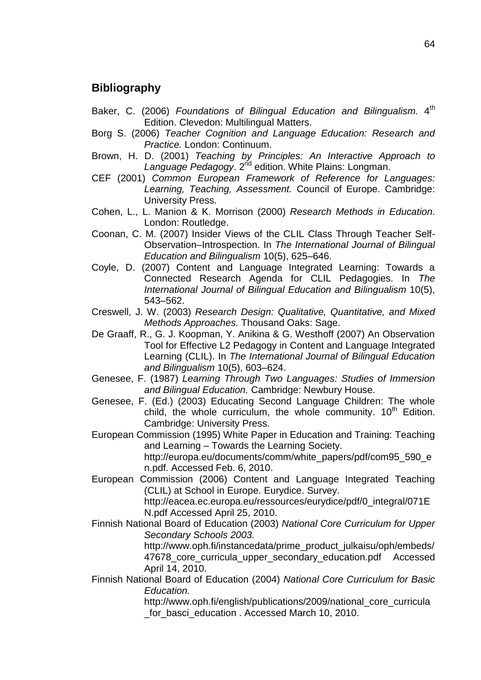# <span id="page-65-0"></span>**Bibliography**

- Baker, C. (2006) *Foundations of Bilingual Education and Bilingualism.* 4 th Edition. Clevedon: Multilingual Matters.
- Borg S. (2006) *Teacher Cognition and Language Education: Research and Practice.* London: Continuum.
- Brown, H. D. (2001) *[Teaching by Principles: An Interactive Approach to](https://helka.linneanet.fi/cgi-bin/Pwebrecon.cgi?SC=Title&SEQ=20090424155401&PID=iTOW3MbiAgWCxAcdx-N9j9pA-A_80&SA=Teaching+by+principles+:+an+interactive+approach+to+language+pedagogy+/)*  [Language Pedagogy](https://helka.linneanet.fi/cgi-bin/Pwebrecon.cgi?SC=Title&SEQ=20090424155401&PID=iTOW3MbiAgWCxAcdx-N9j9pA-A_80&SA=Teaching+by+principles+:+an+interactive+approach+to+language+pedagogy+/). 2<sup>nd</sup> edition. White Plains: Longman.
- CEF (2001) *Common European Framework of Reference for Languages: Learning, Teaching, Assessment.* Council of Europe. Cambridge: University Press.
- [Cohen, L., L. Manion & K. Morrison](https://helka.linneanet.fi/cgi-bin/Pwebrecon.cgi?SC=Title&SEQ=20090507202146&PID=aGtLtATMEqGJCPSzg99W1SvC2xD&SA=Research+methods+in+education+/) (2000) *[Research Methods in Education](https://helka.linneanet.fi/cgi-bin/Pwebrecon.cgi?SC=Title&SEQ=20090507202146&PID=aGtLtATMEqGJCPSzg99W1SvC2xD&SA=Research+methods+in+education+/)*. London: Routledge.
- Coonan, C. M. (2007) Insider Views of the CLIL Class Through Teacher Self-Observation–Introspection. In *The International Journal of Bilingual Education and Bilingualism* 10(5), 625–646.
- Coyle, D. (2007) Content and Language Integrated Learning: Towards a Connected Research Agenda for CLIL Pedagogies. In *The International Journal of Bilingual Education and Bilingualism* 10(5), 543–562.
- Creswell, J. W. (2003) *Research Design: Qualitative, Quantitative, and Mixed Methods Approaches.* Thousand Oaks: Sage.
- De Graaff, R., G. J. Koopman, Y. Anikina & G. Westhoff (2007) An Observation Tool for Effective L2 Pedagogy in Content and Language Integrated Learning (CLIL). In *The International Journal of Bilingual Education and Bilingualism* 10(5), 603–624.
- Genesee, F. (1987) *Learning Through Two Languages: Studies of Immersion and Bilingual Education.* Cambridge: Newbury House.
- Genesee, F. (Ed.) (2003) Educating Second Language Children: The whole child, the whole curriculum, the whole community,  $10<sup>th</sup>$  Edition. Cambridge: University Press.
- European Commission (1995) White Paper in Education and Training: Teaching and Learning – Towards the Learning Society. http://europa.eu/documents/comm/white\_papers/pdf/com95\_590\_e n.pdf. Accessed Feb. 6, 2010.
- European Commission (2006) Content and Language Integrated Teaching (CLIL) at School in Europe. Eurydice. Survey. http://eacea.ec.europa.eu/ressources/eurydice/pdf/0\_integral/071E N.pdf Accessed April 25, 2010.
- Finnish National Board of Education (2003) *National Core Curriculum for Upper Secondary Schools 2003.*

[http://www.oph.fi/instancedata/prime\\_product\\_julkaisu/oph/embeds/](http://www.oph.fi/instancedata/prime_product_julkaisu/oph/embeds/47678_core_curricula_upper_secondary_education.pdf%20Accessed%20April%2014) 47678 core curricula upper secondary education.pdf Accessed [April 14,](http://www.oph.fi/instancedata/prime_product_julkaisu/oph/embeds/47678_core_curricula_upper_secondary_education.pdf%20Accessed%20April%2014) 2010.

Finnish National Board of Education (2004) *National Core Curriculum for Basic Education.*

[http://www.oph.fi/english/publications/2009/national\\_core\\_curricula](http://www.oph.fi/english/publications/2009/national_core_curricula_for_basci_education) [\\_for\\_basci\\_education](http://www.oph.fi/english/publications/2009/national_core_curricula_for_basci_education) . Accessed March 10, 2010.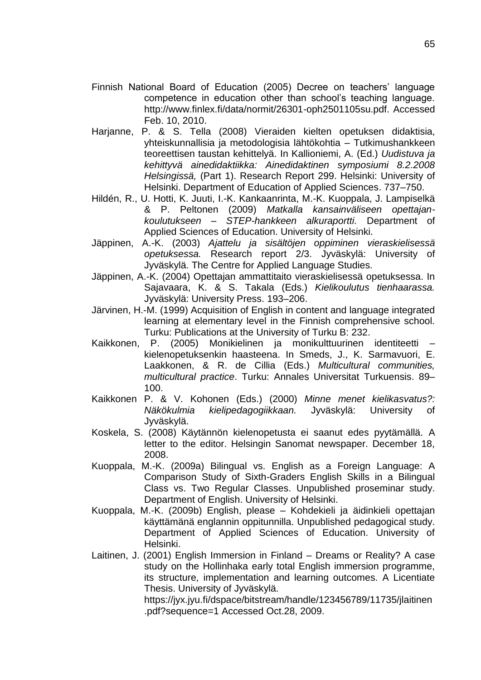- Finnish National Board of Education (2005) Decree on teachers' language competence in education other than school's teaching language. [http://www.finlex.fi/data/normit/26301-oph2501105su.pdf. Accessed](http://www.finlex.fi/data/normit/26301-oph2501105su.pdf.%20Accessed%20Feb.%2010)  [Feb. 10,](http://www.finlex.fi/data/normit/26301-oph2501105su.pdf.%20Accessed%20Feb.%2010) 2010.
- Harjanne, P. & S. Tella (2008) Vieraiden kielten opetuksen didaktisia, yhteiskunnallisia ja metodologisia lähtökohtia – Tutkimushankkeen teoreettisen taustan kehittelyä. In Kallioniemi, A. (Ed.) *Uudistuva ja kehittyvä ainedidaktiikka: Ainedidaktinen symposiumi 8.2.2008 Helsingissä,* (Part 1). Research Report 299. Helsinki: University of Helsinki. Department of Education of Applied Sciences. 737–750.
- Hildén, R., U. Hotti, K. Juuti, I.-K. Kankaanrinta, M.-K. Kuoppala, J. Lampiselkä & P. Peltonen (2009) *Matkalla kansainväliseen opettajankoulutukseen – STEP-hankkeen alkuraportti.* Department of Applied Sciences of Education. University of Helsinki.
- Jäppinen, A.-K. (2003) *Ajattelu ja sisältöjen oppiminen vieraskielisessä opetuksessa.* Research report 2/3. Jyväskylä: University of Jyväskylä. The Centre for Applied Language Studies.
- Jäppinen, A.-K. (2004) Opettajan ammattitaito vieraskielisessä opetuksessa. In Sajavaara, K. & S. Takala (Eds.) *Kielikoulutus tienhaarassa.* Jyväskylä: University Press. 193–206.
- Järvinen, H.-M. (1999) Acquisition of English in content and language integrated learning at elementary level in the Finnish comprehensive school. Turku: Publications at the University of Turku B: 232.
- Kaikkonen, P. (2005) Monikielinen ja monikulttuurinen identiteetti kielenopetuksenkin haasteena. In Smeds, J., K. Sarmavuori, E. Laakkonen, & R. de Cillia (Eds.) *Multicultural communities, multicultural practice*. Turku: Annales Universitat Turkuensis. 89– 100.
- Kaikkonen P. & V. Kohonen (Eds.) (2000) *Minne menet kielikasvatus?: Näkökulmia kielipedagogiikkaan.* Jyväskylä: University of Jyväskylä.
- Koskela, S. (2008) Käytännön kielenopetusta ei saanut edes pyytämällä. A letter to the editor. Helsingin Sanomat newspaper. December 18, 2008.
- Kuoppala, M.-K. (2009a) Bilingual vs. English as a Foreign Language: A Comparison Study of Sixth-Graders English Skills in a Bilingual Class vs. Two Regular Classes. Unpublished proseminar study. Department of English. University of Helsinki.
- Kuoppala, M.-K. (2009b) English, please Kohdekieli ja äidinkieli opettajan käyttämänä englannin oppitunnilla. Unpublished pedagogical study. Department of Applied Sciences of Education. University of Helsinki.
- Laitinen, J. (2001) English Immersion in Finland Dreams or Reality? A case study on the Hollinhaka early total English immersion programme, its structure, implementation and learning outcomes. A Licentiate Thesis. University of Jyväskylä.

https://jyx.jyu.fi/dspace/bitstream/handle/123456789/11735/jlaitinen .pdf?sequence=1 Accessed Oct.28, 2009.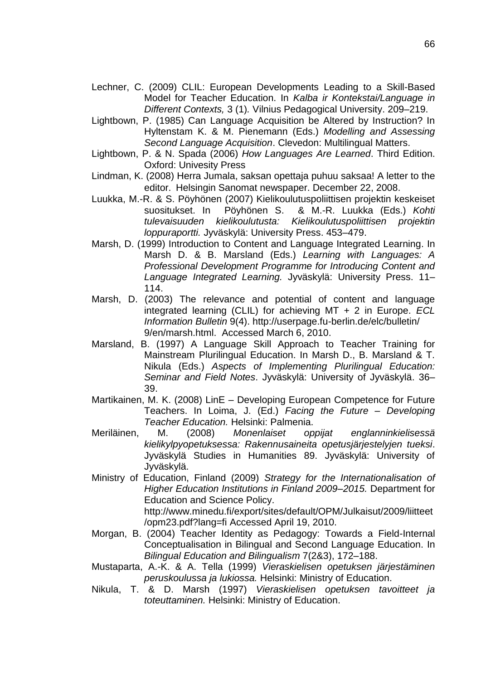- Lechner, C. (2009) CLIL: European Developments Leading to a Skill-Based Model for Teacher Education. In *Kalba ir Kontekstai/Language in Different Contexts,* 3 (1)*.* Vilnius Pedagogical University. 209–219.
- Lightbown, P. (1985) Can Language Acquisition be Altered by Instruction? In Hyltenstam K. & M. Pienemann (Eds.) *Modelling and Assessing Second Language Acquisition*. Clevedon: Multilingual Matters.
- Lightbown, P. & N. Spada (2006) *How Languages Are Learned*. Third Edition. Oxford: Univesity Press
- Lindman, K. (2008) Herra Jumala, saksan opettaja puhuu saksaa! A letter to the editor. Helsingin Sanomat newspaper. December 22, 2008.
- Luukka, M.-R. & S. Pöyhönen (2007) Kielikoulutuspoliittisen projektin keskeiset suositukset. In Pöyhönen S. & M.-R. Luukka (Eds.) *Kohti tulevaisuuden kielikoulutusta: Kielikoulutuspoliittisen projektin loppuraportti.* Jyväskylä: University Press. 453–479.
- Marsh, D. (1999) Introduction to Content and Language Integrated Learning. In Marsh D. & B. Marsland (Eds.) *Learning with Languages: A Professional Development Programme for Introducing Content and Language Integrated Learning.* Jyväskylä: University Press. 11– 114.
- Marsh, D. (2003) The relevance and potential of content and language integrated learning (CLIL) for achieving MT + 2 in Europe. *ECL Information Bulletin* 9(4). http://userpage.fu-berlin.de/elc/bulletin/ 9/en/marsh.html. Accessed March 6, 2010.
- Marsland, B. (1997) A Language Skill Approach to Teacher Training for Mainstream Plurilingual Education. In Marsh D., B. Marsland & T. Nikula (Eds.) *Aspects of Implementing Plurilingual Education: Seminar and Field Notes*. Jyväskylä: University of Jyväskylä. 36– 39.
- Martikainen, M. K. (2008) LinE Developing European Competence for Future Teachers. In Loima, J. (Ed.) *Facing the Future – Developing Teacher Education.* Helsinki: Palmenia.
- Meriläinen, M. (2008) *Monenlaiset oppijat englanninkielisessä kielikylpyopetuksessa: Rakennusaineita opetusjärjestelyjen tueksi*. Jyväskylä Studies in Humanities 89. Jyväskylä: University of Jyväskylä.
- Ministry of Education, Finland (2009) *Strategy for the Internationalisation of Higher Education Institutions in Finland 2009–2015.* Department for Education and Science Policy. [http://www.minedu.fi/export/sites/default/OPM/Julkaisut/2009/liitteet](http://www.minedu.fi/export/sites/default/OPM/Julkaisut/2009/liitteet/opm23.pdf?lang=fi) [/opm23.pdf?lang=fi](http://www.minedu.fi/export/sites/default/OPM/Julkaisut/2009/liitteet/opm23.pdf?lang=fi) Accessed April 19, 2010.
- Morgan, B. (2004) Teacher Identity as Pedagogy: Towards a Field-Internal Conceptualisation in Bilingual and Second Language Education. In *Bilingual Education and Bilingualism* 7(2&3), 172–188.
- Mustaparta, A.-K. & A. Tella (1999) *Vieraskielisen opetuksen järjestäminen peruskoulussa ja lukiossa.* Helsinki: Ministry of Education.
- Nikula, T. & D. Marsh (1997) *Vieraskielisen opetuksen tavoitteet ja toteuttaminen.* Helsinki: Ministry of Education.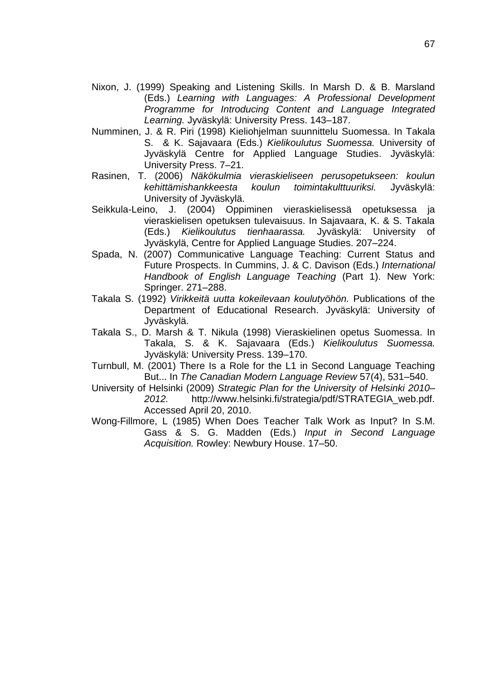- Nixon, J. (1999) Speaking and Listening Skills. In Marsh D. & B. Marsland (Eds.) *Learning with Languages: A Professional Development Programme for Introducing Content and Language Integrated Learning.* Jyväskylä: University Press. 143–187.
- Numminen, J. & R. Piri (1998) Kieliohjelman suunnittelu Suomessa. In Takala S. & K. Sajavaara (Eds.) *Kielikoulutus Suomessa.* University of Jyväskylä Centre for Applied Language Studies. Jyväskylä: University Press. 7–21.
- Rasinen, T. (2006) *Näkökulmia vieraskieliseen perusopetukseen: koulun kehittämishankkeesta koulun toimintakulttuuriksi.* Jyväskylä: University of Jyväskylä.
- Seikkula-Leino, J. (2004) Oppiminen vieraskielisessä opetuksessa ja vieraskielisen opetuksen tulevaisuus. In Sajavaara, K. & S. Takala (Eds.) *Kielikoulutus tienhaarassa.* Jyväskylä: University of Jyväskylä, Centre for Applied Language Studies. 207–224.
- Spada, N. (2007) Communicative Language Teaching: Current Status and Future Prospects. In Cummins, J. & C. Davison (Eds.) *International Handbook of English Language Teaching* (Part 1). New York: Springer. 271–288.
- Takala S. (1992) *Virikkeitä uutta kokeilevaan koulutyöhön.* Publications of the Department of Educational Research. Jyväskylä: University of Jyväskylä.
- Takala S., D. Marsh & T. Nikula (1998) Vieraskielinen opetus Suomessa. In Takala, S. & K. Sajavaara (Eds.) *Kielikoulutus Suomessa.*  Jyväskylä: University Press. 139–170.
- Turnbull, M. (2001) There Is a Role for the L1 in Second Language Teaching But... In *The Canadian Modern Language Review* 57(4), 531–540.
- University of Helsinki (2009) *Strategic Plan for the University of Helsinki 2010– 2012.* http://www.helsinki.fi/strategia/pdf/STRATEGIA\_web.pdf. Accessed April 20, 2010.
- Wong-Fillmore, L (1985) When Does Teacher Talk Work as Input? In S.M. Gass & S. G. Madden (Eds.) *Input in Second Language Acquisition.* Rowley: Newbury House. 17–50.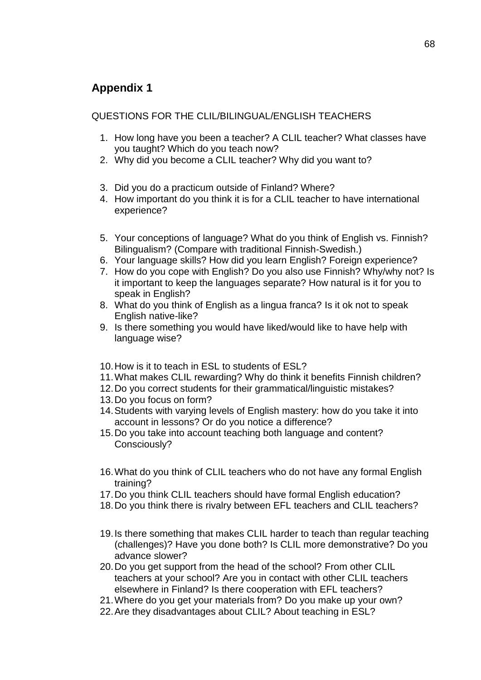# <span id="page-69-0"></span>**Appendix 1**

QUESTIONS FOR THE CLIL/BILINGUAL/ENGLISH TEACHERS

- 1. How long have you been a teacher? A CLIL teacher? What classes have you taught? Which do you teach now?
- 2. Why did you become a CLIL teacher? Why did you want to?
- 3. Did you do a practicum outside of Finland? Where?
- 4. How important do you think it is for a CLIL teacher to have international experience?
- 5. Your conceptions of language? What do you think of English vs. Finnish? Bilingualism? (Compare with traditional Finnish-Swedish.)
- 6. Your language skills? How did you learn English? Foreign experience?
- 7. How do you cope with English? Do you also use Finnish? Why/why not? Is it important to keep the languages separate? How natural is it for you to speak in English?
- 8. What do you think of English as a lingua franca? Is it ok not to speak English native-like?
- 9. Is there something you would have liked/would like to have help with language wise?
- 10. How is it to teach in ESL to students of ESL?
- 11. What makes CLIL rewarding? Why do think it benefits Finnish children?
- 12. Do you correct students for their grammatical/linguistic mistakes?
- 13. Do you focus on form?
- 14. Students with varying levels of English mastery: how do you take it into account in lessons? Or do you notice a difference?
- 15. Do you take into account teaching both language and content? Consciously?
- 16. What do you think of CLIL teachers who do not have any formal English training?
- 17. Do you think CLIL teachers should have formal English education?
- 18. Do you think there is rivalry between EFL teachers and CLIL teachers?
- 19. Is there something that makes CLIL harder to teach than regular teaching (challenges)? Have you done both? Is CLIL more demonstrative? Do you advance slower?
- 20. Do you get support from the head of the school? From other CLIL teachers at your school? Are you in contact with other CLIL teachers elsewhere in Finland? Is there cooperation with EFL teachers?
- 21. Where do you get your materials from? Do you make up your own?
- 22. Are they disadvantages about CLIL? About teaching in ESL?